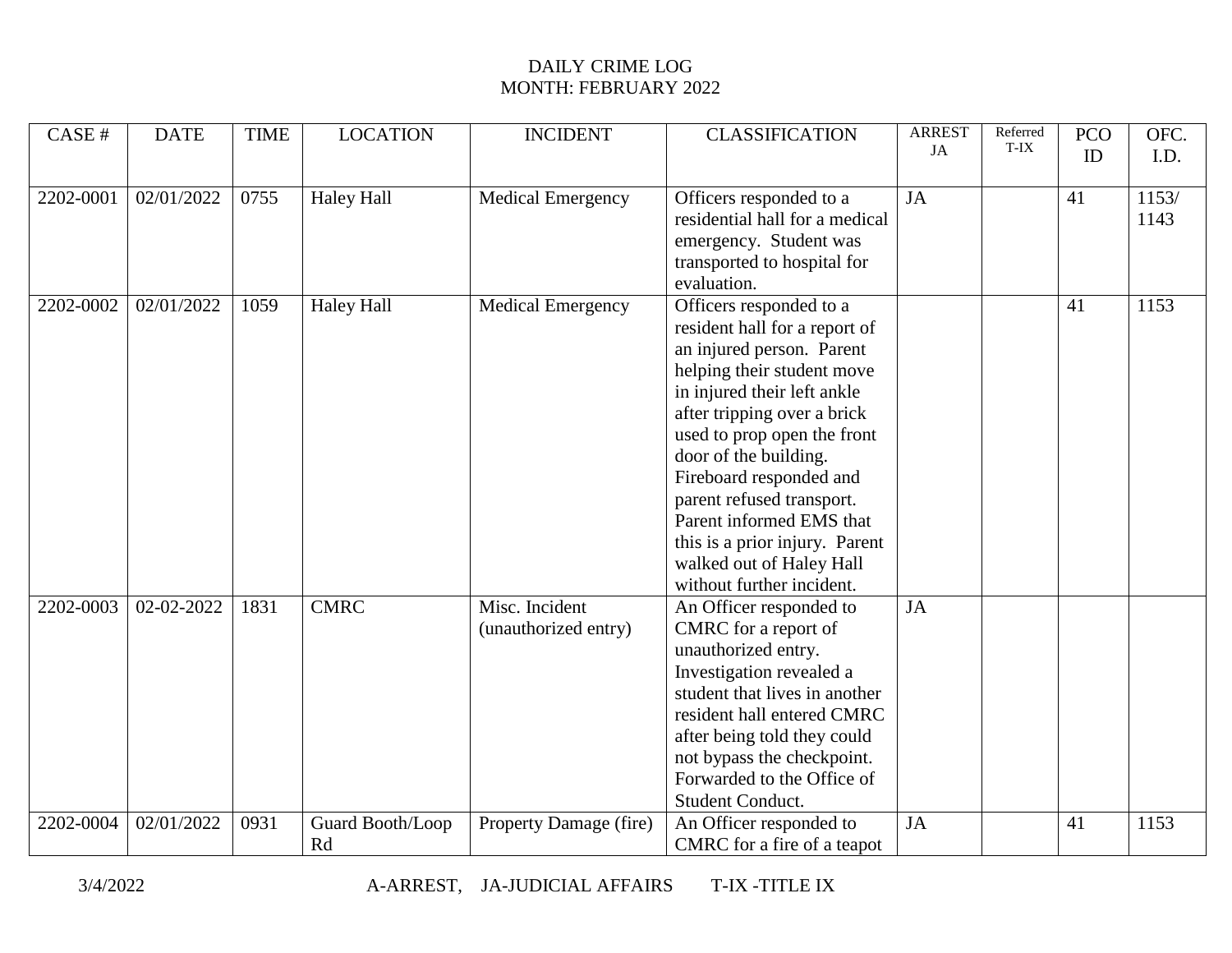| CASE #    | <b>DATE</b> | <b>TIME</b> | <b>LOCATION</b>        | <b>INCIDENT</b>                        | <b>CLASSIFICATION</b>                                                                                                                                                                                                                                                                                                                                                                                                    | <b>ARREST</b><br>JA | Referred<br>T-IX | <b>PCO</b> | OFC.          |
|-----------|-------------|-------------|------------------------|----------------------------------------|--------------------------------------------------------------------------------------------------------------------------------------------------------------------------------------------------------------------------------------------------------------------------------------------------------------------------------------------------------------------------------------------------------------------------|---------------------|------------------|------------|---------------|
|           |             |             |                        |                                        |                                                                                                                                                                                                                                                                                                                                                                                                                          |                     |                  | ID         | I.D.          |
| 2202-0001 | 02/01/2022  | 0755        | <b>Haley Hall</b>      | <b>Medical Emergency</b>               | Officers responded to a<br>residential hall for a medical<br>emergency. Student was<br>transported to hospital for<br>evaluation.                                                                                                                                                                                                                                                                                        | JA                  |                  | 41         | 1153/<br>1143 |
| 2202-0002 | 02/01/2022  | 1059        | <b>Haley Hall</b>      | <b>Medical Emergency</b>               | Officers responded to a<br>resident hall for a report of<br>an injured person. Parent<br>helping their student move<br>in injured their left ankle<br>after tripping over a brick<br>used to prop open the front<br>door of the building.<br>Fireboard responded and<br>parent refused transport.<br>Parent informed EMS that<br>this is a prior injury. Parent<br>walked out of Haley Hall<br>without further incident. |                     |                  | 41         | 1153          |
| 2202-0003 | 02-02-2022  | 1831        | <b>CMRC</b>            | Misc. Incident<br>(unauthorized entry) | An Officer responded to<br>CMRC for a report of<br>unauthorized entry.<br>Investigation revealed a<br>student that lives in another<br>resident hall entered CMRC<br>after being told they could<br>not bypass the checkpoint.<br>Forwarded to the Office of<br>Student Conduct.                                                                                                                                         | JA                  |                  |            |               |
| 2202-0004 | 02/01/2022  | 0931        | Guard Booth/Loop<br>Rd | Property Damage (fire)                 | An Officer responded to<br>CMRC for a fire of a teapot                                                                                                                                                                                                                                                                                                                                                                   | JA                  |                  | 41         | 1153          |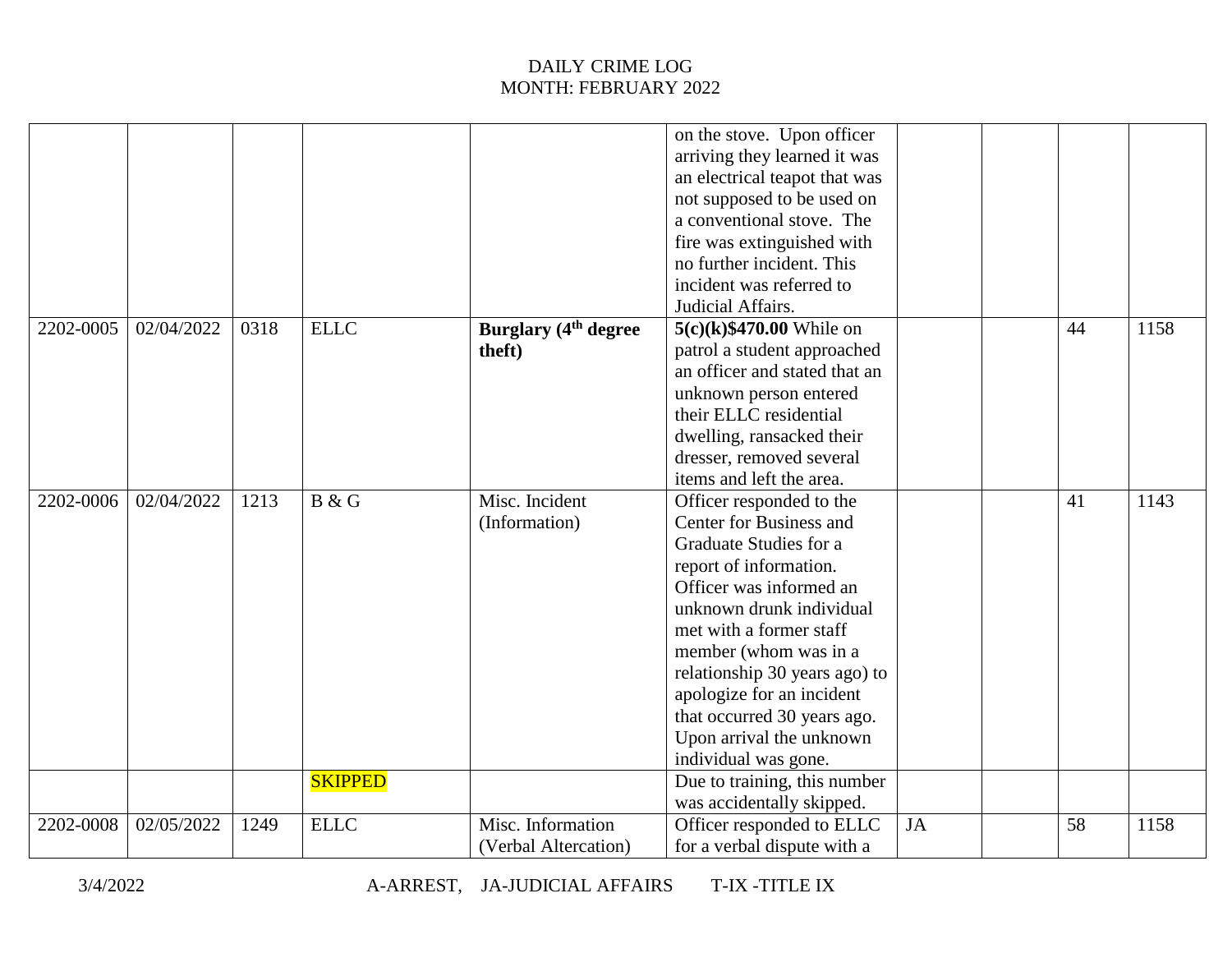|           |            |      |                |                                           | on the stove. Upon officer<br>arriving they learned it was<br>an electrical teapot that was<br>not supposed to be used on<br>a conventional stove. The<br>fire was extinguished with<br>no further incident. This<br>incident was referred to<br>Judicial Affairs.                                                                                                  |           |    |      |
|-----------|------------|------|----------------|-------------------------------------------|---------------------------------------------------------------------------------------------------------------------------------------------------------------------------------------------------------------------------------------------------------------------------------------------------------------------------------------------------------------------|-----------|----|------|
| 2202-0005 | 02/04/2022 | 0318 | <b>ELLC</b>    | <b>Burglary (4th degree)</b><br>theft)    | $5(c)(k)$ \$470.00 While on<br>patrol a student approached<br>an officer and stated that an<br>unknown person entered<br>their ELLC residential<br>dwelling, ransacked their<br>dresser, removed several<br>items and left the area.                                                                                                                                |           | 44 | 1158 |
| 2202-0006 | 02/04/2022 | 1213 | B & G          | Misc. Incident<br>(Information)           | Officer responded to the<br>Center for Business and<br>Graduate Studies for a<br>report of information.<br>Officer was informed an<br>unknown drunk individual<br>met with a former staff<br>member (whom was in a<br>relationship 30 years ago) to<br>apologize for an incident<br>that occurred 30 years ago.<br>Upon arrival the unknown<br>individual was gone. |           | 41 | 1143 |
|           |            |      | <b>SKIPPED</b> |                                           | Due to training, this number<br>was accidentally skipped.                                                                                                                                                                                                                                                                                                           |           |    |      |
| 2202-0008 | 02/05/2022 | 1249 | <b>ELLC</b>    | Misc. Information<br>(Verbal Altercation) | Officer responded to ELLC<br>for a verbal dispute with a                                                                                                                                                                                                                                                                                                            | <b>JA</b> | 58 | 1158 |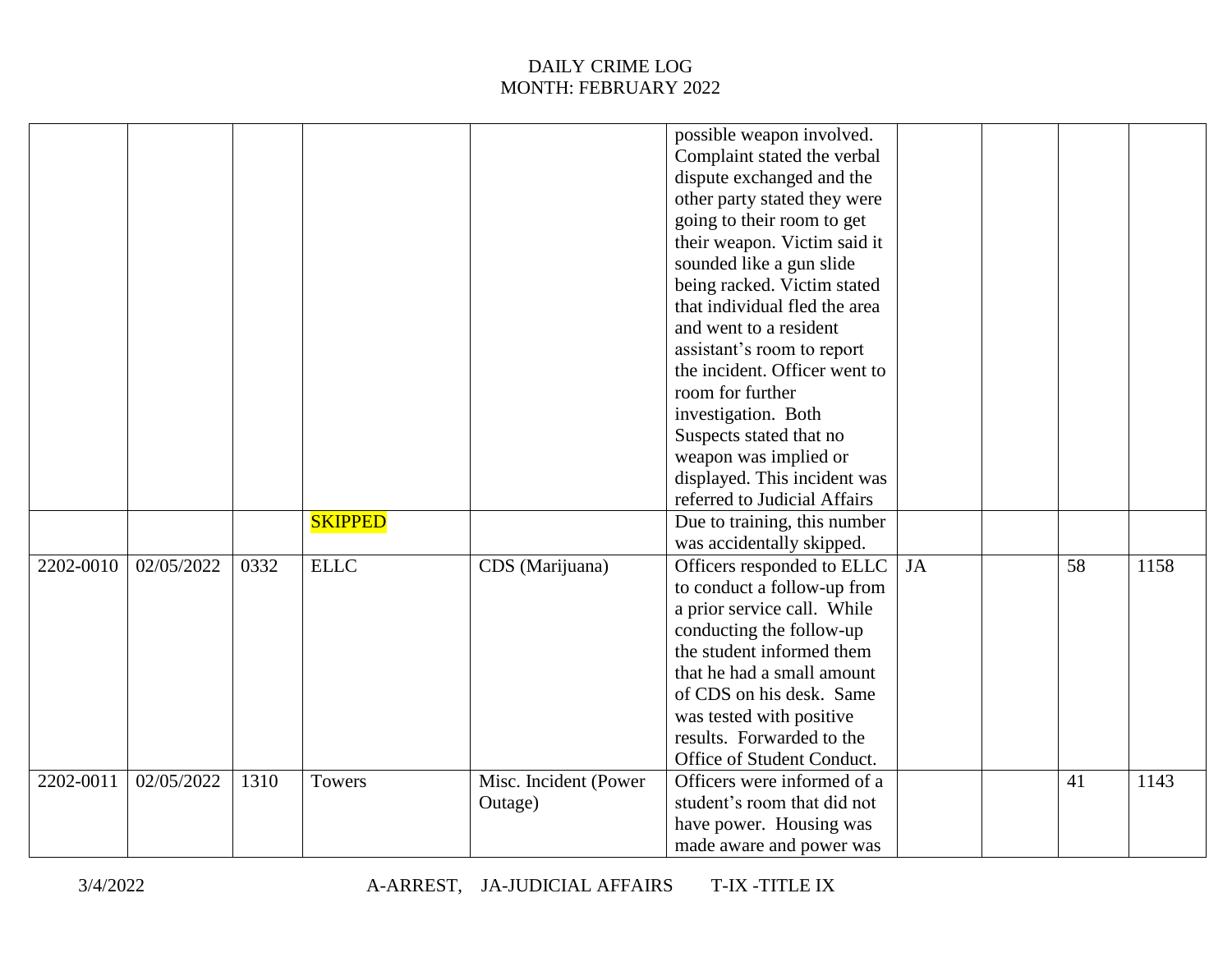|           |            |      |                |                       | possible weapon involved.<br>Complaint stated the verbal<br>dispute exchanged and the |           |    |      |
|-----------|------------|------|----------------|-----------------------|---------------------------------------------------------------------------------------|-----------|----|------|
|           |            |      |                |                       | other party stated they were                                                          |           |    |      |
|           |            |      |                |                       | going to their room to get                                                            |           |    |      |
|           |            |      |                |                       | their weapon. Victim said it                                                          |           |    |      |
|           |            |      |                |                       | sounded like a gun slide                                                              |           |    |      |
|           |            |      |                |                       | being racked. Victim stated                                                           |           |    |      |
|           |            |      |                |                       | that individual fled the area                                                         |           |    |      |
|           |            |      |                |                       | and went to a resident                                                                |           |    |      |
|           |            |      |                |                       | assistant's room to report                                                            |           |    |      |
|           |            |      |                |                       | the incident. Officer went to                                                         |           |    |      |
|           |            |      |                |                       | room for further                                                                      |           |    |      |
|           |            |      |                |                       | investigation. Both                                                                   |           |    |      |
|           |            |      |                |                       | Suspects stated that no                                                               |           |    |      |
|           |            |      |                |                       | weapon was implied or                                                                 |           |    |      |
|           |            |      |                |                       | displayed. This incident was                                                          |           |    |      |
|           |            |      |                |                       | referred to Judicial Affairs                                                          |           |    |      |
|           |            |      | <b>SKIPPED</b> |                       | Due to training, this number                                                          |           |    |      |
|           |            |      |                |                       | was accidentally skipped.                                                             |           |    |      |
| 2202-0010 | 02/05/2022 | 0332 | <b>ELLC</b>    | CDS (Marijuana)       | Officers responded to ELLC                                                            | <b>JA</b> | 58 | 1158 |
|           |            |      |                |                       | to conduct a follow-up from                                                           |           |    |      |
|           |            |      |                |                       | a prior service call. While                                                           |           |    |      |
|           |            |      |                |                       | conducting the follow-up                                                              |           |    |      |
|           |            |      |                |                       | the student informed them                                                             |           |    |      |
|           |            |      |                |                       | that he had a small amount                                                            |           |    |      |
|           |            |      |                |                       | of CDS on his desk. Same                                                              |           |    |      |
|           |            |      |                |                       | was tested with positive                                                              |           |    |      |
|           |            |      |                |                       | results. Forwarded to the                                                             |           |    |      |
|           |            |      |                |                       | Office of Student Conduct.                                                            |           |    |      |
| 2202-0011 | 02/05/2022 | 1310 | Towers         | Misc. Incident (Power | Officers were informed of a                                                           |           | 41 | 1143 |
|           |            |      |                | Outage)               | student's room that did not                                                           |           |    |      |
|           |            |      |                |                       | have power. Housing was                                                               |           |    |      |
|           |            |      |                |                       | made aware and power was                                                              |           |    |      |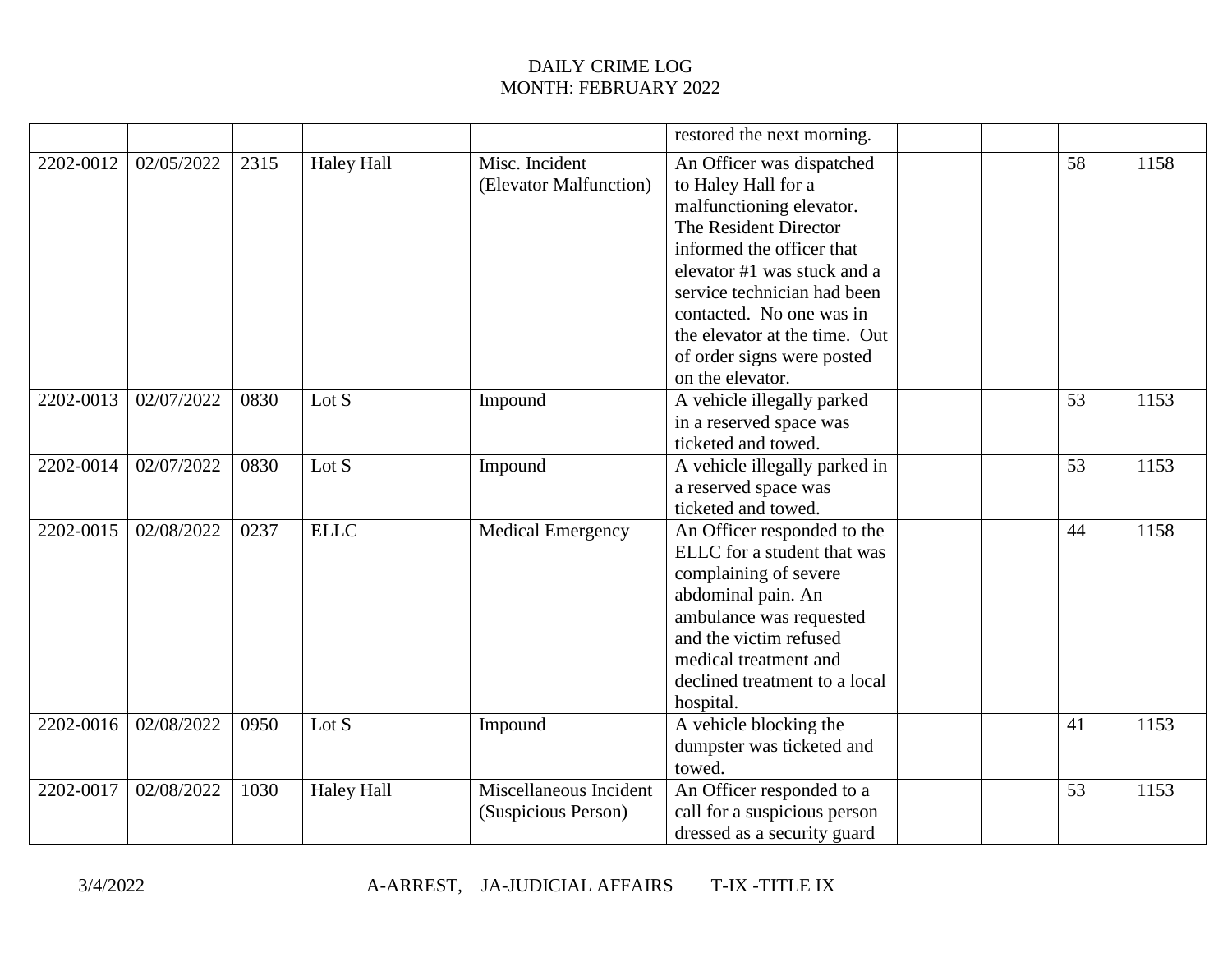|           |            |      |                   |                                               | restored the next morning.                                                                                                                                                                                                                                                                                      |    |      |
|-----------|------------|------|-------------------|-----------------------------------------------|-----------------------------------------------------------------------------------------------------------------------------------------------------------------------------------------------------------------------------------------------------------------------------------------------------------------|----|------|
| 2202-0012 | 02/05/2022 | 2315 | <b>Haley Hall</b> | Misc. Incident<br>(Elevator Malfunction)      | An Officer was dispatched<br>to Haley Hall for a<br>malfunctioning elevator.<br>The Resident Director<br>informed the officer that<br>elevator #1 was stuck and a<br>service technician had been<br>contacted. No one was in<br>the elevator at the time. Out<br>of order signs were posted<br>on the elevator. | 58 | 1158 |
| 2202-0013 | 02/07/2022 | 0830 | Lot $S$           | Impound                                       | A vehicle illegally parked<br>in a reserved space was<br>ticketed and towed.                                                                                                                                                                                                                                    | 53 | 1153 |
| 2202-0014 | 02/07/2022 | 0830 | Lot $S$           | Impound                                       | A vehicle illegally parked in<br>a reserved space was<br>ticketed and towed.                                                                                                                                                                                                                                    | 53 | 1153 |
| 2202-0015 | 02/08/2022 | 0237 | <b>ELLC</b>       | <b>Medical Emergency</b>                      | An Officer responded to the<br>ELLC for a student that was<br>complaining of severe<br>abdominal pain. An<br>ambulance was requested<br>and the victim refused<br>medical treatment and<br>declined treatment to a local<br>hospital.                                                                           | 44 | 1158 |
| 2202-0016 | 02/08/2022 | 0950 | Lot S             | Impound                                       | A vehicle blocking the<br>dumpster was ticketed and<br>towed.                                                                                                                                                                                                                                                   | 41 | 1153 |
| 2202-0017 | 02/08/2022 | 1030 | <b>Haley Hall</b> | Miscellaneous Incident<br>(Suspicious Person) | An Officer responded to a<br>call for a suspicious person<br>dressed as a security guard                                                                                                                                                                                                                        | 53 | 1153 |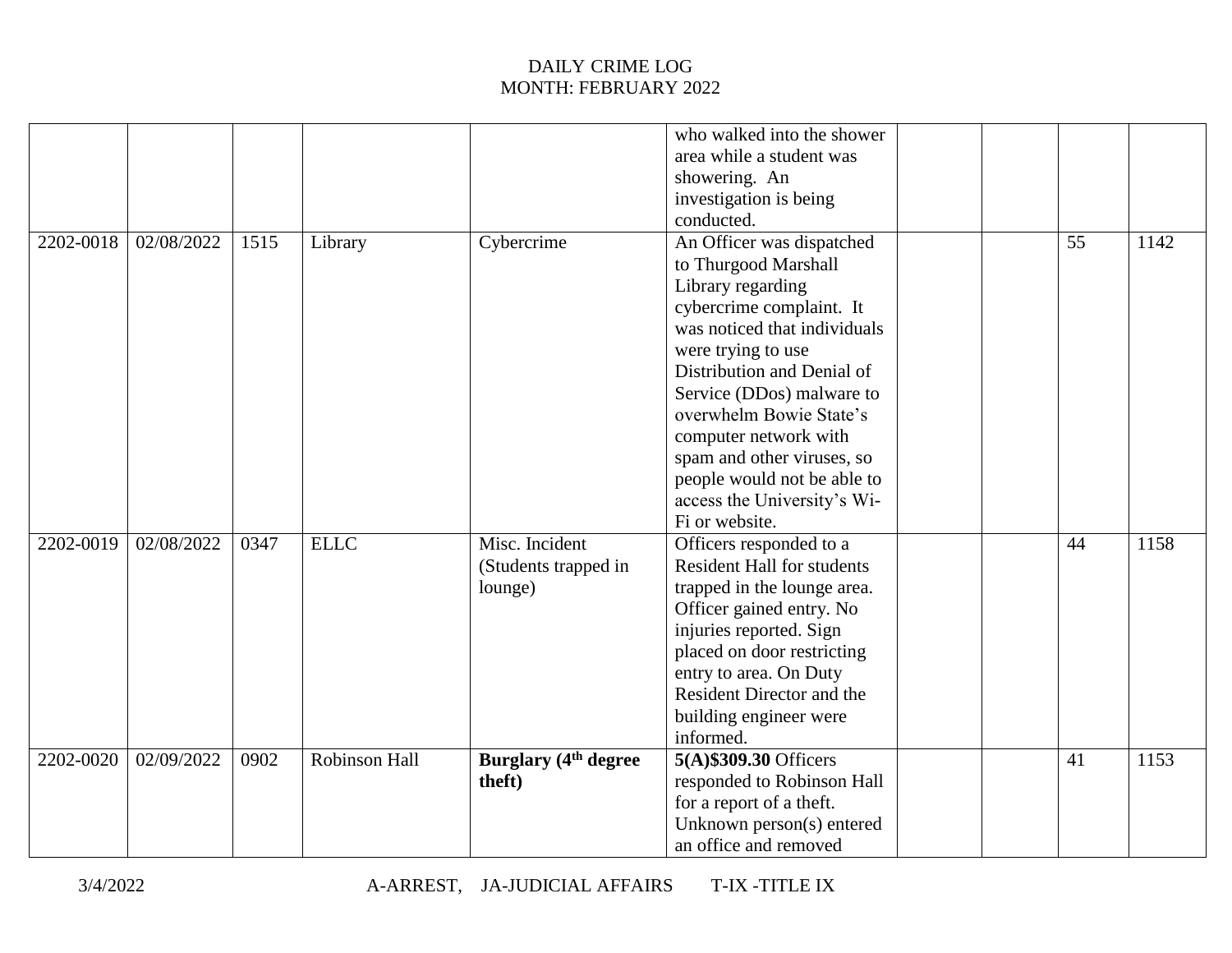|           |            |      |                      |                                                   | who walked into the shower<br>area while a student was<br>showering. An<br>investigation is being                                                                                                                                                                                                                                                                                                   |  |    |      |
|-----------|------------|------|----------------------|---------------------------------------------------|-----------------------------------------------------------------------------------------------------------------------------------------------------------------------------------------------------------------------------------------------------------------------------------------------------------------------------------------------------------------------------------------------------|--|----|------|
| 2202-0018 | 02/08/2022 | 1515 | Library              | Cybercrime                                        | conducted.<br>An Officer was dispatched<br>to Thurgood Marshall<br>Library regarding<br>cybercrime complaint. It<br>was noticed that individuals<br>were trying to use<br>Distribution and Denial of<br>Service (DDos) malware to<br>overwhelm Bowie State's<br>computer network with<br>spam and other viruses, so<br>people would not be able to<br>access the University's Wi-<br>Fi or website. |  | 55 | 1142 |
| 2202-0019 | 02/08/2022 | 0347 | <b>ELLC</b>          | Misc. Incident<br>(Students trapped in<br>lounge) | Officers responded to a<br><b>Resident Hall for students</b><br>trapped in the lounge area.<br>Officer gained entry. No<br>injuries reported. Sign<br>placed on door restricting<br>entry to area. On Duty<br>Resident Director and the<br>building engineer were<br>informed.                                                                                                                      |  | 44 | 1158 |
| 2202-0020 | 02/09/2022 | 0902 | <b>Robinson Hall</b> | <b>Burglary (4th degree)</b><br>theft)            | 5(A) \$309.30 Officers<br>responded to Robinson Hall<br>for a report of a theft.<br>Unknown person(s) entered<br>an office and removed                                                                                                                                                                                                                                                              |  | 41 | 1153 |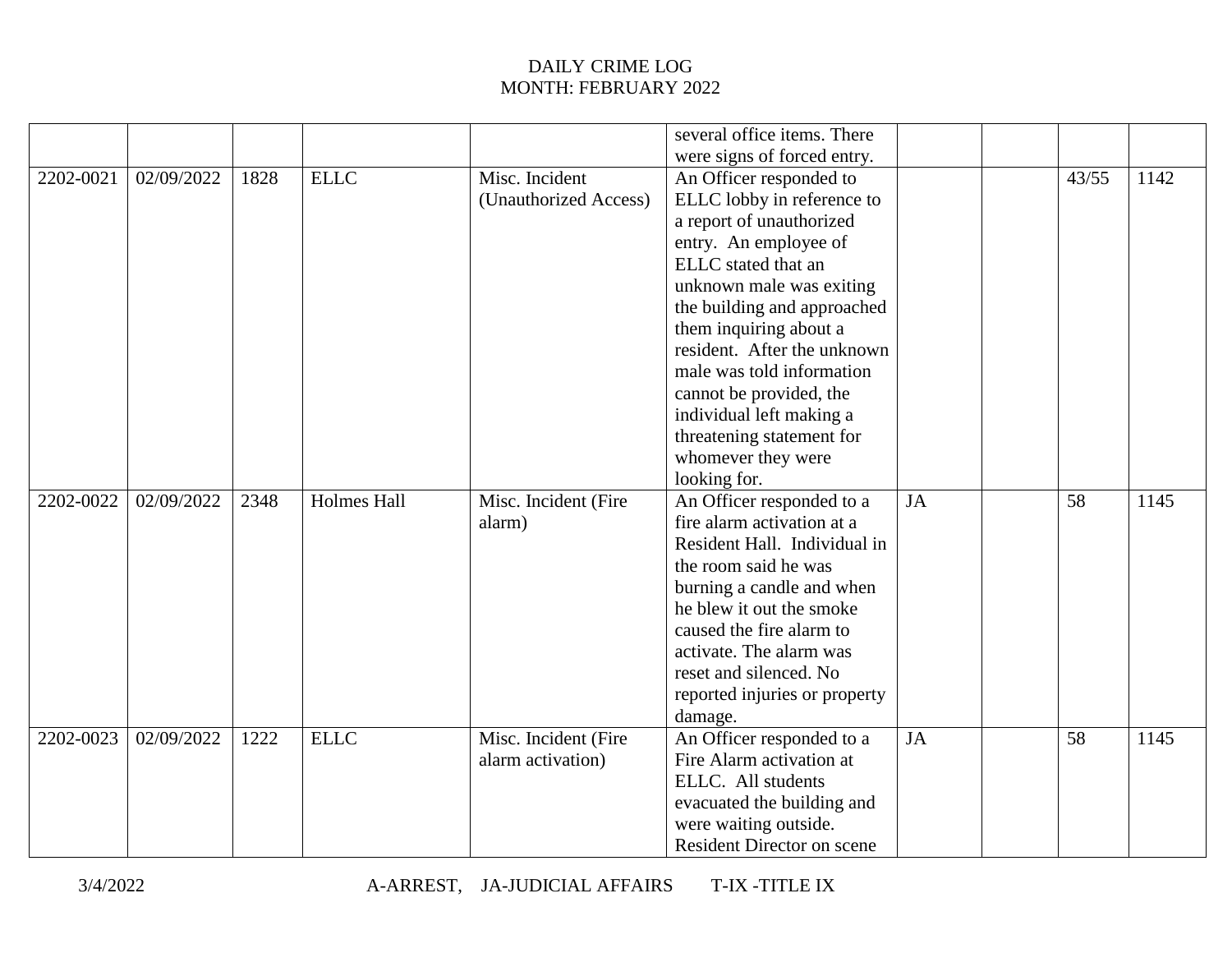|           |            |      |                    |                       | several office items. There       |           |       |      |
|-----------|------------|------|--------------------|-----------------------|-----------------------------------|-----------|-------|------|
|           |            |      |                    |                       | were signs of forced entry.       |           |       |      |
| 2202-0021 | 02/09/2022 | 1828 | <b>ELLC</b>        | Misc. Incident        | An Officer responded to           |           | 43/55 | 1142 |
|           |            |      |                    | (Unauthorized Access) | ELLC lobby in reference to        |           |       |      |
|           |            |      |                    |                       | a report of unauthorized          |           |       |      |
|           |            |      |                    |                       | entry. An employee of             |           |       |      |
|           |            |      |                    |                       | ELLC stated that an               |           |       |      |
|           |            |      |                    |                       | unknown male was exiting          |           |       |      |
|           |            |      |                    |                       | the building and approached       |           |       |      |
|           |            |      |                    |                       | them inquiring about a            |           |       |      |
|           |            |      |                    |                       | resident. After the unknown       |           |       |      |
|           |            |      |                    |                       | male was told information         |           |       |      |
|           |            |      |                    |                       | cannot be provided, the           |           |       |      |
|           |            |      |                    |                       | individual left making a          |           |       |      |
|           |            |      |                    |                       | threatening statement for         |           |       |      |
|           |            |      |                    |                       | whomever they were                |           |       |      |
|           |            |      |                    |                       | looking for.                      |           |       |      |
| 2202-0022 | 02/09/2022 | 2348 | <b>Holmes Hall</b> | Misc. Incident (Fire  | An Officer responded to a         | <b>JA</b> | 58    | 1145 |
|           |            |      |                    | alarm)                | fire alarm activation at a        |           |       |      |
|           |            |      |                    |                       | Resident Hall. Individual in      |           |       |      |
|           |            |      |                    |                       | the room said he was              |           |       |      |
|           |            |      |                    |                       | burning a candle and when         |           |       |      |
|           |            |      |                    |                       | he blew it out the smoke          |           |       |      |
|           |            |      |                    |                       | caused the fire alarm to          |           |       |      |
|           |            |      |                    |                       | activate. The alarm was           |           |       |      |
|           |            |      |                    |                       | reset and silenced. No            |           |       |      |
|           |            |      |                    |                       | reported injuries or property     |           |       |      |
|           |            |      |                    |                       | damage.                           |           |       |      |
| 2202-0023 | 02/09/2022 | 1222 | <b>ELLC</b>        | Misc. Incident (Fire  | An Officer responded to a         | JA        | 58    | 1145 |
|           |            |      |                    | alarm activation)     | Fire Alarm activation at          |           |       |      |
|           |            |      |                    |                       | ELLC. All students                |           |       |      |
|           |            |      |                    |                       | evacuated the building and        |           |       |      |
|           |            |      |                    |                       | were waiting outside.             |           |       |      |
|           |            |      |                    |                       | <b>Resident Director on scene</b> |           |       |      |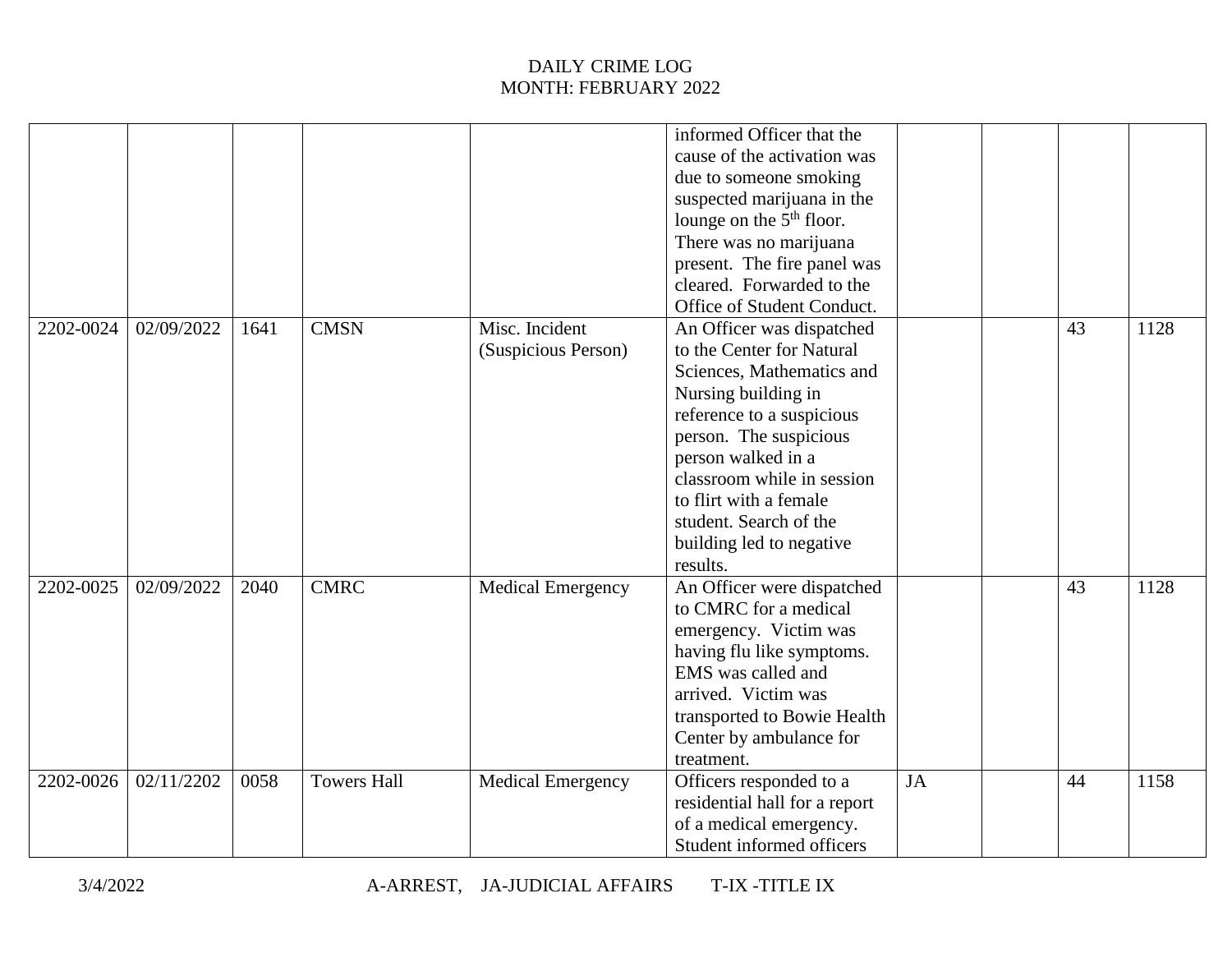|           |            |      |                    |                                       | informed Officer that the<br>cause of the activation was<br>due to someone smoking<br>suspected marijuana in the<br>lounge on the $5th$ floor.<br>There was no marijuana                                                                                                                                          |           |    |      |
|-----------|------------|------|--------------------|---------------------------------------|-------------------------------------------------------------------------------------------------------------------------------------------------------------------------------------------------------------------------------------------------------------------------------------------------------------------|-----------|----|------|
|           |            |      |                    |                                       | present. The fire panel was<br>cleared. Forwarded to the<br>Office of Student Conduct.                                                                                                                                                                                                                            |           |    |      |
| 2202-0024 | 02/09/2022 | 1641 | <b>CMSN</b>        | Misc. Incident<br>(Suspicious Person) | An Officer was dispatched<br>to the Center for Natural<br>Sciences, Mathematics and<br>Nursing building in<br>reference to a suspicious<br>person. The suspicious<br>person walked in a<br>classroom while in session<br>to flirt with a female<br>student. Search of the<br>building led to negative<br>results. |           | 43 | 1128 |
| 2202-0025 | 02/09/2022 | 2040 | <b>CMRC</b>        | <b>Medical Emergency</b>              | An Officer were dispatched<br>to CMRC for a medical<br>emergency. Victim was<br>having flu like symptoms.<br>EMS was called and<br>arrived. Victim was<br>transported to Bowie Health<br>Center by ambulance for<br>treatment.                                                                                    |           | 43 | 1128 |
| 2202-0026 | 02/11/2202 | 0058 | <b>Towers Hall</b> | <b>Medical Emergency</b>              | Officers responded to a<br>residential hall for a report<br>of a medical emergency.<br>Student informed officers                                                                                                                                                                                                  | <b>JA</b> | 44 | 1158 |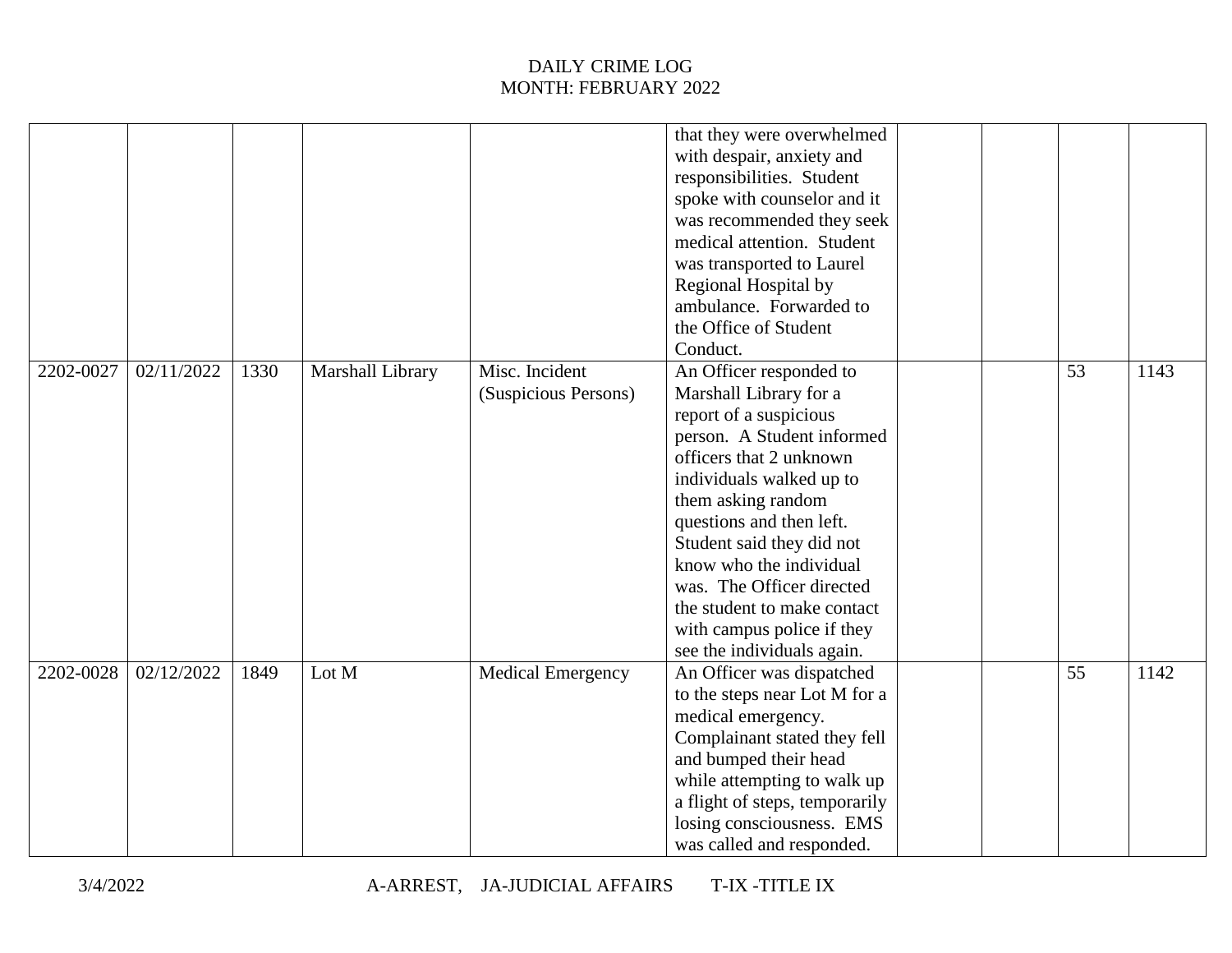|           |            |      |                  |                          | that they were overwhelmed     |  |    |      |
|-----------|------------|------|------------------|--------------------------|--------------------------------|--|----|------|
|           |            |      |                  |                          | with despair, anxiety and      |  |    |      |
|           |            |      |                  |                          | responsibilities. Student      |  |    |      |
|           |            |      |                  |                          | spoke with counselor and it    |  |    |      |
|           |            |      |                  |                          | was recommended they seek      |  |    |      |
|           |            |      |                  |                          | medical attention. Student     |  |    |      |
|           |            |      |                  |                          | was transported to Laurel      |  |    |      |
|           |            |      |                  |                          | Regional Hospital by           |  |    |      |
|           |            |      |                  |                          | ambulance. Forwarded to        |  |    |      |
|           |            |      |                  |                          | the Office of Student          |  |    |      |
|           |            |      |                  |                          | Conduct.                       |  |    |      |
| 2202-0027 | 02/11/2022 | 1330 | Marshall Library | Misc. Incident           | An Officer responded to        |  | 53 | 1143 |
|           |            |      |                  | (Suspicious Persons)     | Marshall Library for a         |  |    |      |
|           |            |      |                  |                          | report of a suspicious         |  |    |      |
|           |            |      |                  |                          | person. A Student informed     |  |    |      |
|           |            |      |                  |                          | officers that 2 unknown        |  |    |      |
|           |            |      |                  |                          | individuals walked up to       |  |    |      |
|           |            |      |                  |                          | them asking random             |  |    |      |
|           |            |      |                  |                          | questions and then left.       |  |    |      |
|           |            |      |                  |                          | Student said they did not      |  |    |      |
|           |            |      |                  |                          | know who the individual        |  |    |      |
|           |            |      |                  |                          | was. The Officer directed      |  |    |      |
|           |            |      |                  |                          | the student to make contact    |  |    |      |
|           |            |      |                  |                          | with campus police if they     |  |    |      |
|           |            |      |                  |                          | see the individuals again.     |  |    |      |
| 2202-0028 | 02/12/2022 | 1849 | Lot M            | <b>Medical Emergency</b> | An Officer was dispatched      |  | 55 | 1142 |
|           |            |      |                  |                          | to the steps near Lot M for a  |  |    |      |
|           |            |      |                  |                          | medical emergency.             |  |    |      |
|           |            |      |                  |                          | Complainant stated they fell   |  |    |      |
|           |            |      |                  |                          | and bumped their head          |  |    |      |
|           |            |      |                  |                          | while attempting to walk up    |  |    |      |
|           |            |      |                  |                          | a flight of steps, temporarily |  |    |      |
|           |            |      |                  |                          | losing consciousness. EMS      |  |    |      |
|           |            |      |                  |                          | was called and responded.      |  |    |      |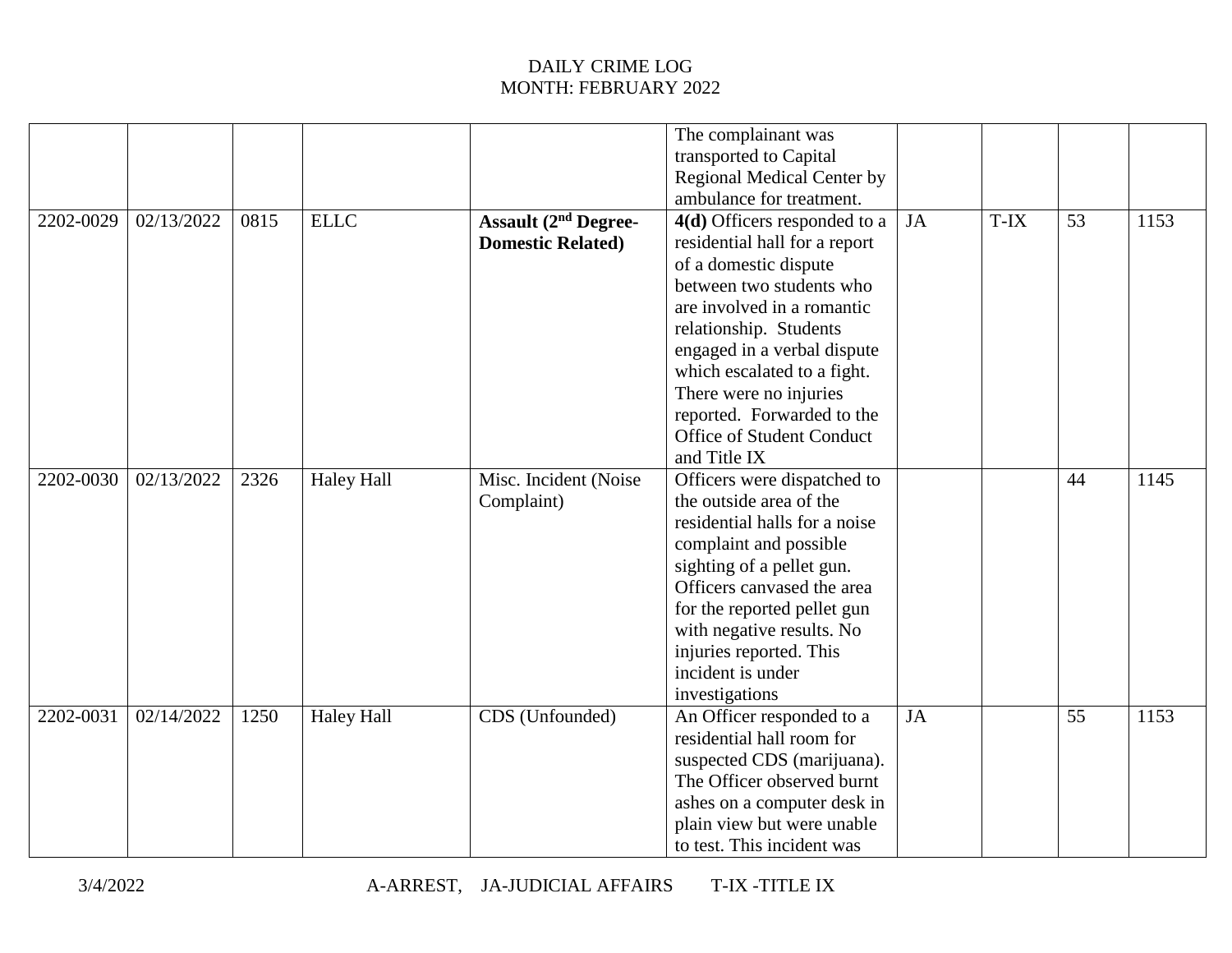|           |            |      |                   |                                                         | The complainant was<br>transported to Capital<br><b>Regional Medical Center by</b>                                                                                                                                                                                                                         |    |      |    |      |
|-----------|------------|------|-------------------|---------------------------------------------------------|------------------------------------------------------------------------------------------------------------------------------------------------------------------------------------------------------------------------------------------------------------------------------------------------------------|----|------|----|------|
|           |            |      |                   |                                                         | ambulance for treatment.                                                                                                                                                                                                                                                                                   |    |      |    |      |
| 2202-0029 | 02/13/2022 | 0815 | <b>ELLC</b>       | <b>Assault (2nd Degree-</b><br><b>Domestic Related)</b> | 4(d) Officers responded to a<br>residential hall for a report<br>of a domestic dispute<br>between two students who<br>are involved in a romantic<br>relationship. Students<br>engaged in a verbal dispute<br>which escalated to a fight.<br>There were no injuries<br>reported. Forwarded to the           | JA | T-IX | 53 | 1153 |
|           |            |      |                   |                                                         | Office of Student Conduct<br>and Title IX                                                                                                                                                                                                                                                                  |    |      |    |      |
| 2202-0030 | 02/13/2022 | 2326 | <b>Haley Hall</b> | Misc. Incident (Noise<br>Complaint)                     | Officers were dispatched to<br>the outside area of the<br>residential halls for a noise<br>complaint and possible<br>sighting of a pellet gun.<br>Officers canvased the area<br>for the reported pellet gun<br>with negative results. No<br>injuries reported. This<br>incident is under<br>investigations |    |      | 44 | 1145 |
| 2202-0031 | 02/14/2022 | 1250 | <b>Haley Hall</b> | CDS (Unfounded)                                         | An Officer responded to a<br>residential hall room for<br>suspected CDS (marijuana).<br>The Officer observed burnt<br>ashes on a computer desk in<br>plain view but were unable<br>to test. This incident was                                                                                              | JA |      | 55 | 1153 |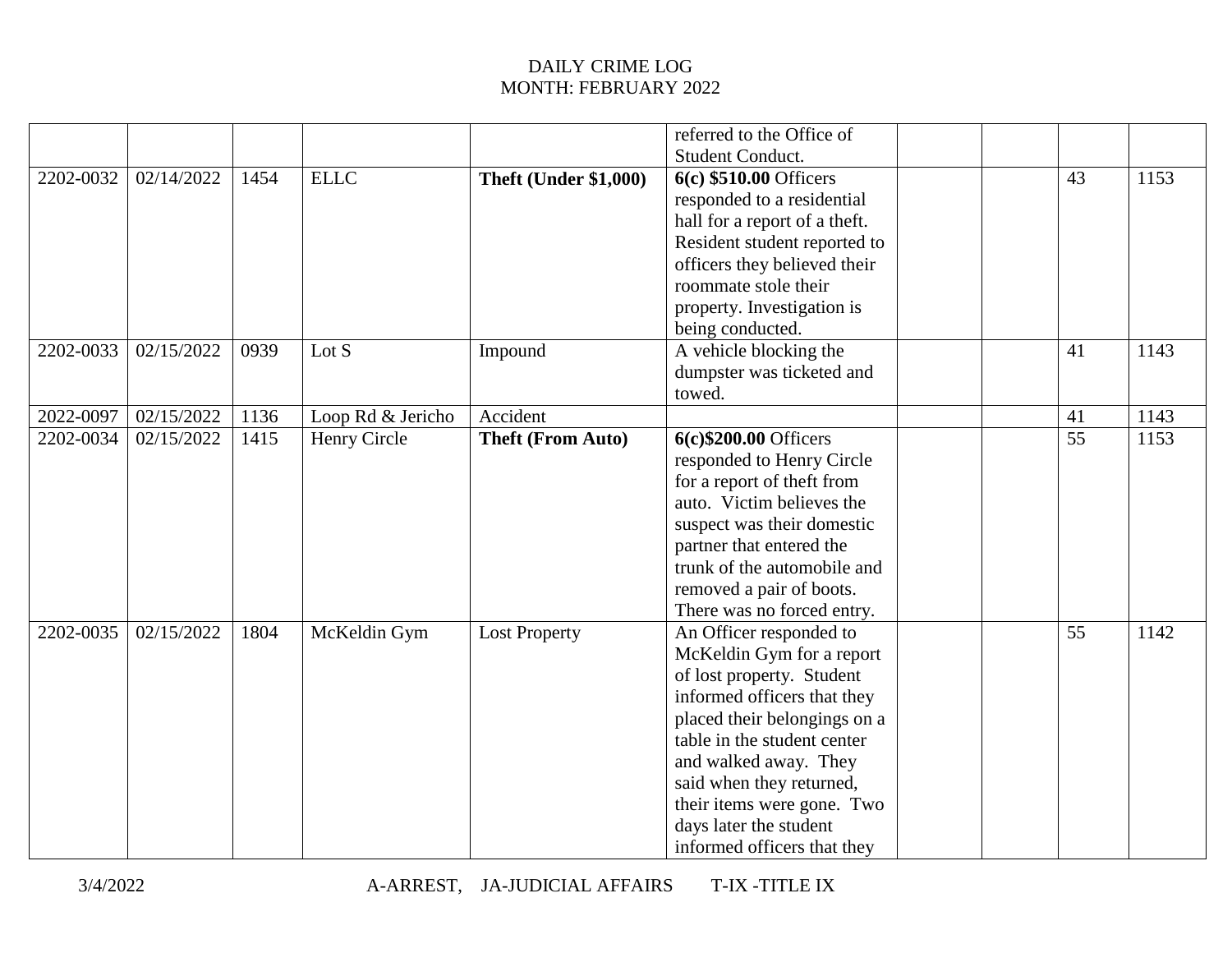|           |            |      |                   |                              | referred to the Office of     |  |    |      |
|-----------|------------|------|-------------------|------------------------------|-------------------------------|--|----|------|
|           |            |      |                   |                              | Student Conduct.              |  |    |      |
| 2202-0032 | 02/14/2022 | 1454 | <b>ELLC</b>       | <b>Theft (Under \$1,000)</b> | 6(c) \$510.00 Officers        |  | 43 | 1153 |
|           |            |      |                   |                              | responded to a residential    |  |    |      |
|           |            |      |                   |                              | hall for a report of a theft. |  |    |      |
|           |            |      |                   |                              | Resident student reported to  |  |    |      |
|           |            |      |                   |                              | officers they believed their  |  |    |      |
|           |            |      |                   |                              | roommate stole their          |  |    |      |
|           |            |      |                   |                              | property. Investigation is    |  |    |      |
|           |            |      |                   |                              | being conducted.              |  |    |      |
| 2202-0033 | 02/15/2022 | 0939 | Lot S             | Impound                      | A vehicle blocking the        |  | 41 | 1143 |
|           |            |      |                   |                              | dumpster was ticketed and     |  |    |      |
|           |            |      |                   |                              | towed.                        |  |    |      |
| 2022-0097 | 02/15/2022 | 1136 | Loop Rd & Jericho | Accident                     |                               |  | 41 | 1143 |
| 2202-0034 | 02/15/2022 | 1415 | Henry Circle      | <b>Theft (From Auto)</b>     | 6(c)\$200.00 Officers         |  | 55 | 1153 |
|           |            |      |                   |                              | responded to Henry Circle     |  |    |      |
|           |            |      |                   |                              | for a report of theft from    |  |    |      |
|           |            |      |                   |                              | auto. Victim believes the     |  |    |      |
|           |            |      |                   |                              | suspect was their domestic    |  |    |      |
|           |            |      |                   |                              | partner that entered the      |  |    |      |
|           |            |      |                   |                              | trunk of the automobile and   |  |    |      |
|           |            |      |                   |                              | removed a pair of boots.      |  |    |      |
|           |            |      |                   |                              | There was no forced entry.    |  |    |      |
| 2202-0035 | 02/15/2022 | 1804 | McKeldin Gym      | <b>Lost Property</b>         | An Officer responded to       |  | 55 | 1142 |
|           |            |      |                   |                              | McKeldin Gym for a report     |  |    |      |
|           |            |      |                   |                              | of lost property. Student     |  |    |      |
|           |            |      |                   |                              | informed officers that they   |  |    |      |
|           |            |      |                   |                              | placed their belongings on a  |  |    |      |
|           |            |      |                   |                              | table in the student center   |  |    |      |
|           |            |      |                   |                              | and walked away. They         |  |    |      |
|           |            |      |                   |                              | said when they returned,      |  |    |      |
|           |            |      |                   |                              | their items were gone. Two    |  |    |      |
|           |            |      |                   |                              | days later the student        |  |    |      |
|           |            |      |                   |                              | informed officers that they   |  |    |      |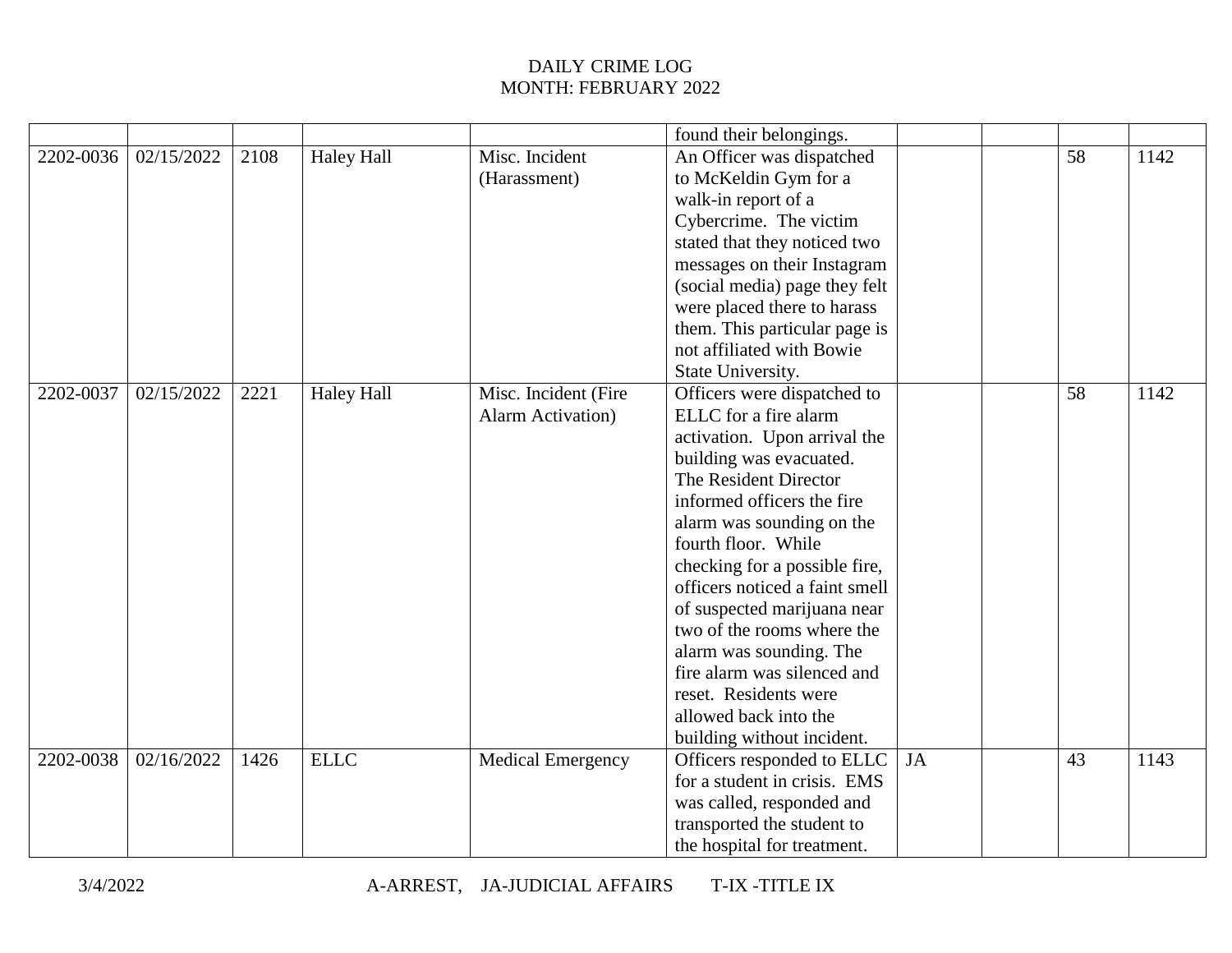|           |            |      |                   |                           | found their belongings.        |    |    |      |
|-----------|------------|------|-------------------|---------------------------|--------------------------------|----|----|------|
| 2202-0036 | 02/15/2022 | 2108 | <b>Haley Hall</b> | Misc. Incident            | An Officer was dispatched      |    | 58 | 1142 |
|           |            |      |                   | (Harassment)              | to McKeldin Gym for a          |    |    |      |
|           |            |      |                   |                           | walk-in report of a            |    |    |      |
|           |            |      |                   |                           | Cybercrime. The victim         |    |    |      |
|           |            |      |                   |                           | stated that they noticed two   |    |    |      |
|           |            |      |                   |                           | messages on their Instagram    |    |    |      |
|           |            |      |                   |                           | (social media) page they felt  |    |    |      |
|           |            |      |                   |                           | were placed there to harass    |    |    |      |
|           |            |      |                   |                           | them. This particular page is  |    |    |      |
|           |            |      |                   |                           | not affiliated with Bowie      |    |    |      |
|           |            |      |                   |                           | State University.              |    |    |      |
| 2202-0037 | 02/15/2022 | 2221 | <b>Haley Hall</b> | Misc. Incident (Fire      | Officers were dispatched to    |    | 58 | 1142 |
|           |            |      |                   | <b>Alarm Activation</b> ) | ELLC for a fire alarm          |    |    |      |
|           |            |      |                   |                           | activation. Upon arrival the   |    |    |      |
|           |            |      |                   |                           | building was evacuated.        |    |    |      |
|           |            |      |                   |                           | The Resident Director          |    |    |      |
|           |            |      |                   |                           | informed officers the fire     |    |    |      |
|           |            |      |                   |                           | alarm was sounding on the      |    |    |      |
|           |            |      |                   |                           | fourth floor. While            |    |    |      |
|           |            |      |                   |                           | checking for a possible fire,  |    |    |      |
|           |            |      |                   |                           | officers noticed a faint smell |    |    |      |
|           |            |      |                   |                           | of suspected marijuana near    |    |    |      |
|           |            |      |                   |                           | two of the rooms where the     |    |    |      |
|           |            |      |                   |                           | alarm was sounding. The        |    |    |      |
|           |            |      |                   |                           | fire alarm was silenced and    |    |    |      |
|           |            |      |                   |                           | reset. Residents were          |    |    |      |
|           |            |      |                   |                           | allowed back into the          |    |    |      |
|           |            |      |                   |                           | building without incident.     |    |    |      |
| 2202-0038 | 02/16/2022 | 1426 | <b>ELLC</b>       | <b>Medical Emergency</b>  | Officers responded to ELLC     | JA | 43 | 1143 |
|           |            |      |                   |                           | for a student in crisis. EMS   |    |    |      |
|           |            |      |                   |                           | was called, responded and      |    |    |      |
|           |            |      |                   |                           | transported the student to     |    |    |      |
|           |            |      |                   |                           | the hospital for treatment.    |    |    |      |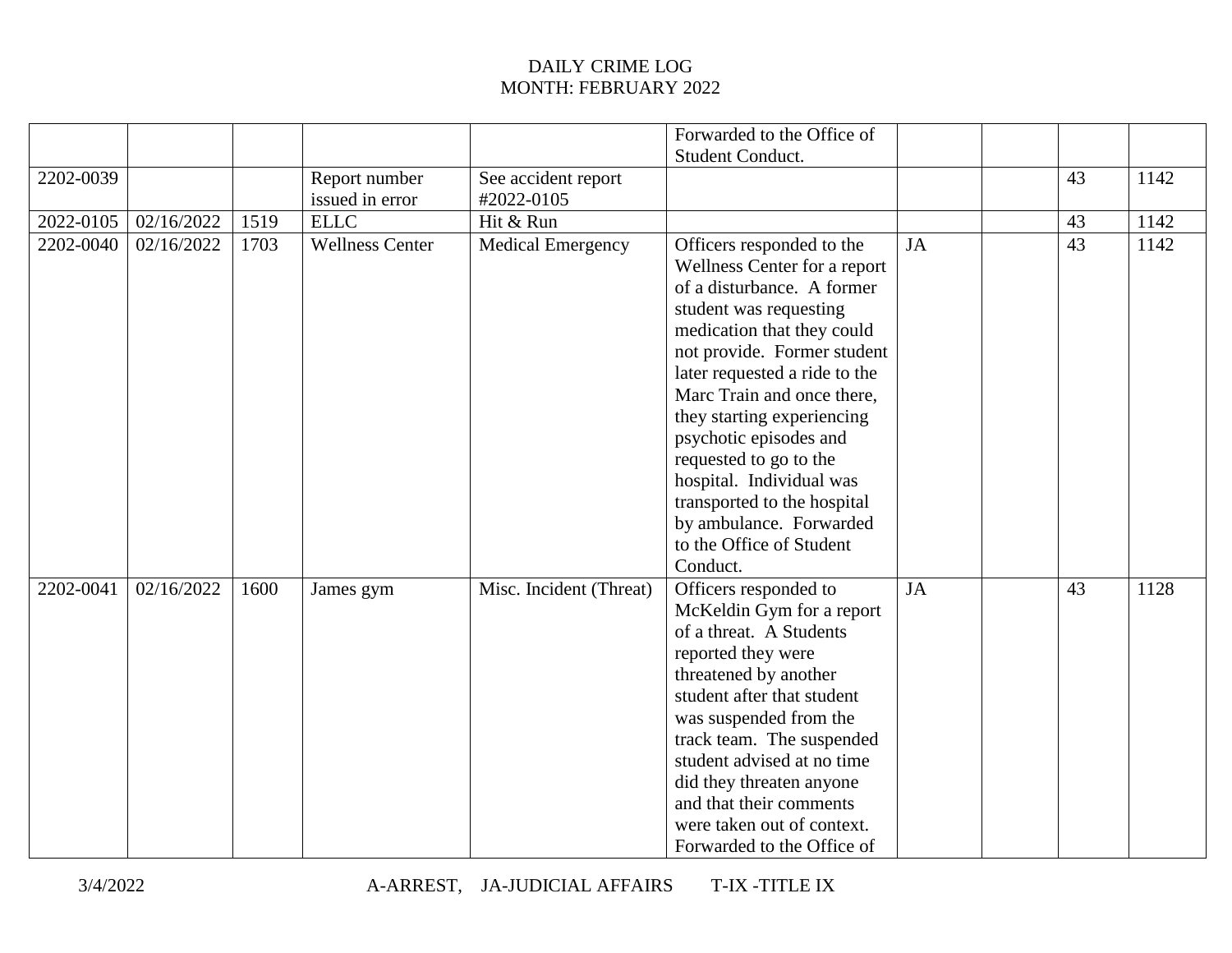|           |            |      |                        |                          | Forwarded to the Office of                                                                                                                                                                                                                                                                                                                                                                                                                                    |           |    |      |
|-----------|------------|------|------------------------|--------------------------|---------------------------------------------------------------------------------------------------------------------------------------------------------------------------------------------------------------------------------------------------------------------------------------------------------------------------------------------------------------------------------------------------------------------------------------------------------------|-----------|----|------|
|           |            |      |                        |                          | Student Conduct.                                                                                                                                                                                                                                                                                                                                                                                                                                              |           |    |      |
| 2202-0039 |            |      | Report number          | See accident report      |                                                                                                                                                                                                                                                                                                                                                                                                                                                               |           | 43 | 1142 |
|           |            |      | issued in error        | #2022-0105               |                                                                                                                                                                                                                                                                                                                                                                                                                                                               |           |    |      |
| 2022-0105 | 02/16/2022 | 1519 | <b>ELLC</b>            | Hit & Run                |                                                                                                                                                                                                                                                                                                                                                                                                                                                               |           | 43 | 1142 |
| 2202-0040 | 02/16/2022 | 1703 | <b>Wellness Center</b> | <b>Medical Emergency</b> | Officers responded to the<br>Wellness Center for a report<br>of a disturbance. A former<br>student was requesting<br>medication that they could<br>not provide. Former student<br>later requested a ride to the<br>Marc Train and once there,<br>they starting experiencing<br>psychotic episodes and<br>requested to go to the<br>hospital. Individual was<br>transported to the hospital<br>by ambulance. Forwarded<br>to the Office of Student<br>Conduct. | <b>JA</b> | 43 | 1142 |
| 2202-0041 | 02/16/2022 | 1600 | James gym              | Misc. Incident (Threat)  | Officers responded to<br>McKeldin Gym for a report<br>of a threat. A Students<br>reported they were<br>threatened by another<br>student after that student<br>was suspended from the<br>track team. The suspended<br>student advised at no time<br>did they threaten anyone<br>and that their comments<br>were taken out of context.<br>Forwarded to the Office of                                                                                            | JA        | 43 | 1128 |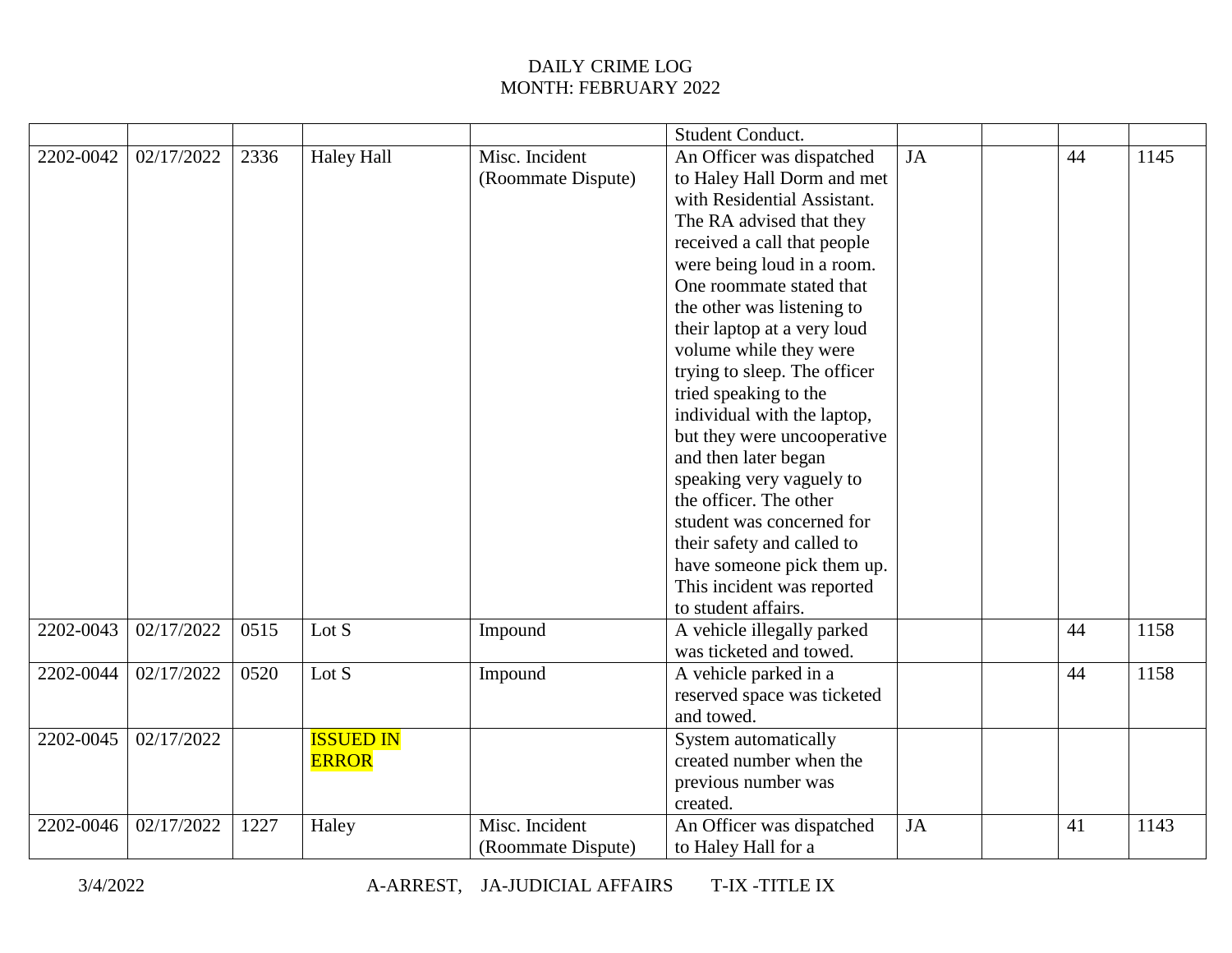|           |            |      |                   |                    | <b>Student Conduct.</b>      |           |    |      |
|-----------|------------|------|-------------------|--------------------|------------------------------|-----------|----|------|
| 2202-0042 | 02/17/2022 | 2336 | <b>Haley Hall</b> | Misc. Incident     | An Officer was dispatched    | JA        | 44 | 1145 |
|           |            |      |                   | (Roommate Dispute) | to Haley Hall Dorm and met   |           |    |      |
|           |            |      |                   |                    | with Residential Assistant.  |           |    |      |
|           |            |      |                   |                    | The RA advised that they     |           |    |      |
|           |            |      |                   |                    | received a call that people  |           |    |      |
|           |            |      |                   |                    | were being loud in a room.   |           |    |      |
|           |            |      |                   |                    | One roommate stated that     |           |    |      |
|           |            |      |                   |                    | the other was listening to   |           |    |      |
|           |            |      |                   |                    | their laptop at a very loud  |           |    |      |
|           |            |      |                   |                    | volume while they were       |           |    |      |
|           |            |      |                   |                    | trying to sleep. The officer |           |    |      |
|           |            |      |                   |                    | tried speaking to the        |           |    |      |
|           |            |      |                   |                    | individual with the laptop,  |           |    |      |
|           |            |      |                   |                    | but they were uncooperative  |           |    |      |
|           |            |      |                   |                    | and then later began         |           |    |      |
|           |            |      |                   |                    | speaking very vaguely to     |           |    |      |
|           |            |      |                   |                    | the officer. The other       |           |    |      |
|           |            |      |                   |                    | student was concerned for    |           |    |      |
|           |            |      |                   |                    | their safety and called to   |           |    |      |
|           |            |      |                   |                    | have someone pick them up.   |           |    |      |
|           |            |      |                   |                    | This incident was reported   |           |    |      |
|           |            |      |                   |                    | to student affairs.          |           |    |      |
| 2202-0043 | 02/17/2022 | 0515 | Lot S             | Impound            | A vehicle illegally parked   |           | 44 | 1158 |
|           |            |      |                   |                    | was ticketed and towed.      |           |    |      |
| 2202-0044 | 02/17/2022 | 0520 | Lot S             | Impound            | A vehicle parked in a        |           | 44 | 1158 |
|           |            |      |                   |                    | reserved space was ticketed  |           |    |      |
|           |            |      |                   |                    | and towed.                   |           |    |      |
| 2202-0045 | 02/17/2022 |      | <b>ISSUED IN</b>  |                    | System automatically         |           |    |      |
|           |            |      | <b>ERROR</b>      |                    | created number when the      |           |    |      |
|           |            |      |                   |                    | previous number was          |           |    |      |
|           |            |      |                   |                    | created.                     |           |    |      |
| 2202-0046 | 02/17/2022 | 1227 | Haley             | Misc. Incident     | An Officer was dispatched    | <b>JA</b> | 41 | 1143 |
|           |            |      |                   | (Roommate Dispute) | to Haley Hall for a          |           |    |      |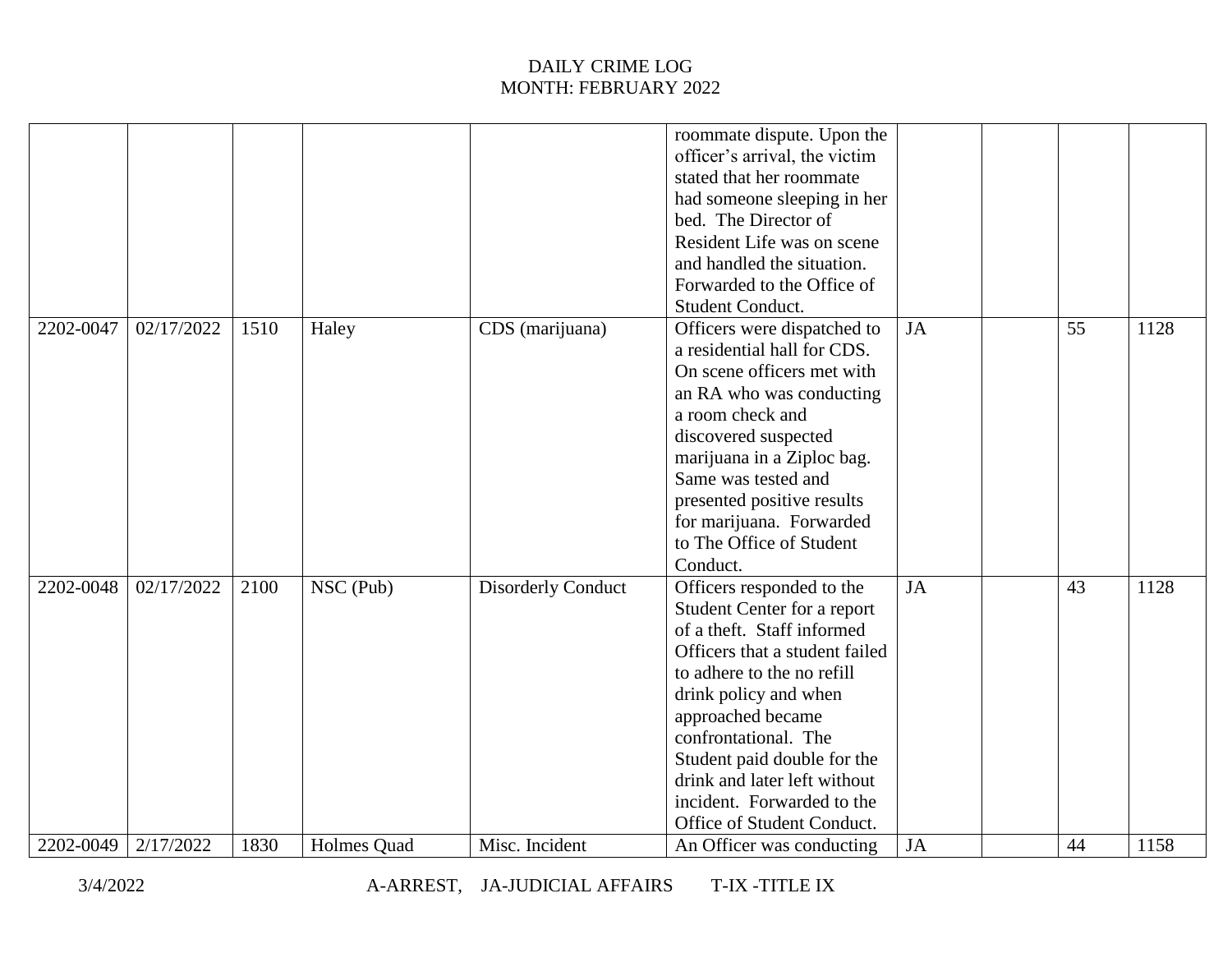|           |            |      |             |                           | roommate dispute. Upon the     |           |    |      |
|-----------|------------|------|-------------|---------------------------|--------------------------------|-----------|----|------|
|           |            |      |             |                           | officer's arrival, the victim  |           |    |      |
|           |            |      |             |                           | stated that her roommate       |           |    |      |
|           |            |      |             |                           | had someone sleeping in her    |           |    |      |
|           |            |      |             |                           | bed. The Director of           |           |    |      |
|           |            |      |             |                           | Resident Life was on scene     |           |    |      |
|           |            |      |             |                           | and handled the situation.     |           |    |      |
|           |            |      |             |                           | Forwarded to the Office of     |           |    |      |
|           |            |      |             |                           | Student Conduct.               |           |    |      |
| 2202-0047 | 02/17/2022 | 1510 | Haley       | CDS (marijuana)           | Officers were dispatched to    | <b>JA</b> | 55 | 1128 |
|           |            |      |             |                           | a residential hall for CDS.    |           |    |      |
|           |            |      |             |                           | On scene officers met with     |           |    |      |
|           |            |      |             |                           | an RA who was conducting       |           |    |      |
|           |            |      |             |                           | a room check and               |           |    |      |
|           |            |      |             |                           | discovered suspected           |           |    |      |
|           |            |      |             |                           | marijuana in a Ziploc bag.     |           |    |      |
|           |            |      |             |                           | Same was tested and            |           |    |      |
|           |            |      |             |                           | presented positive results     |           |    |      |
|           |            |      |             |                           | for marijuana. Forwarded       |           |    |      |
|           |            |      |             |                           | to The Office of Student       |           |    |      |
|           |            |      |             |                           | Conduct.                       |           |    |      |
| 2202-0048 | 02/17/2022 | 2100 | NSC (Pub)   | <b>Disorderly Conduct</b> | Officers responded to the      | <b>JA</b> | 43 | 1128 |
|           |            |      |             |                           | Student Center for a report    |           |    |      |
|           |            |      |             |                           | of a theft. Staff informed     |           |    |      |
|           |            |      |             |                           | Officers that a student failed |           |    |      |
|           |            |      |             |                           | to adhere to the no refill     |           |    |      |
|           |            |      |             |                           | drink policy and when          |           |    |      |
|           |            |      |             |                           | approached became              |           |    |      |
|           |            |      |             |                           | confrontational. The           |           |    |      |
|           |            |      |             |                           | Student paid double for the    |           |    |      |
|           |            |      |             |                           | drink and later left without   |           |    |      |
|           |            |      |             |                           | incident. Forwarded to the     |           |    |      |
|           |            |      |             |                           |                                |           |    |      |
|           |            |      |             |                           | Office of Student Conduct.     |           |    |      |
| 2202-0049 | 2/17/2022  | 1830 | Holmes Quad | Misc. Incident            | An Officer was conducting      | <b>JA</b> | 44 | 1158 |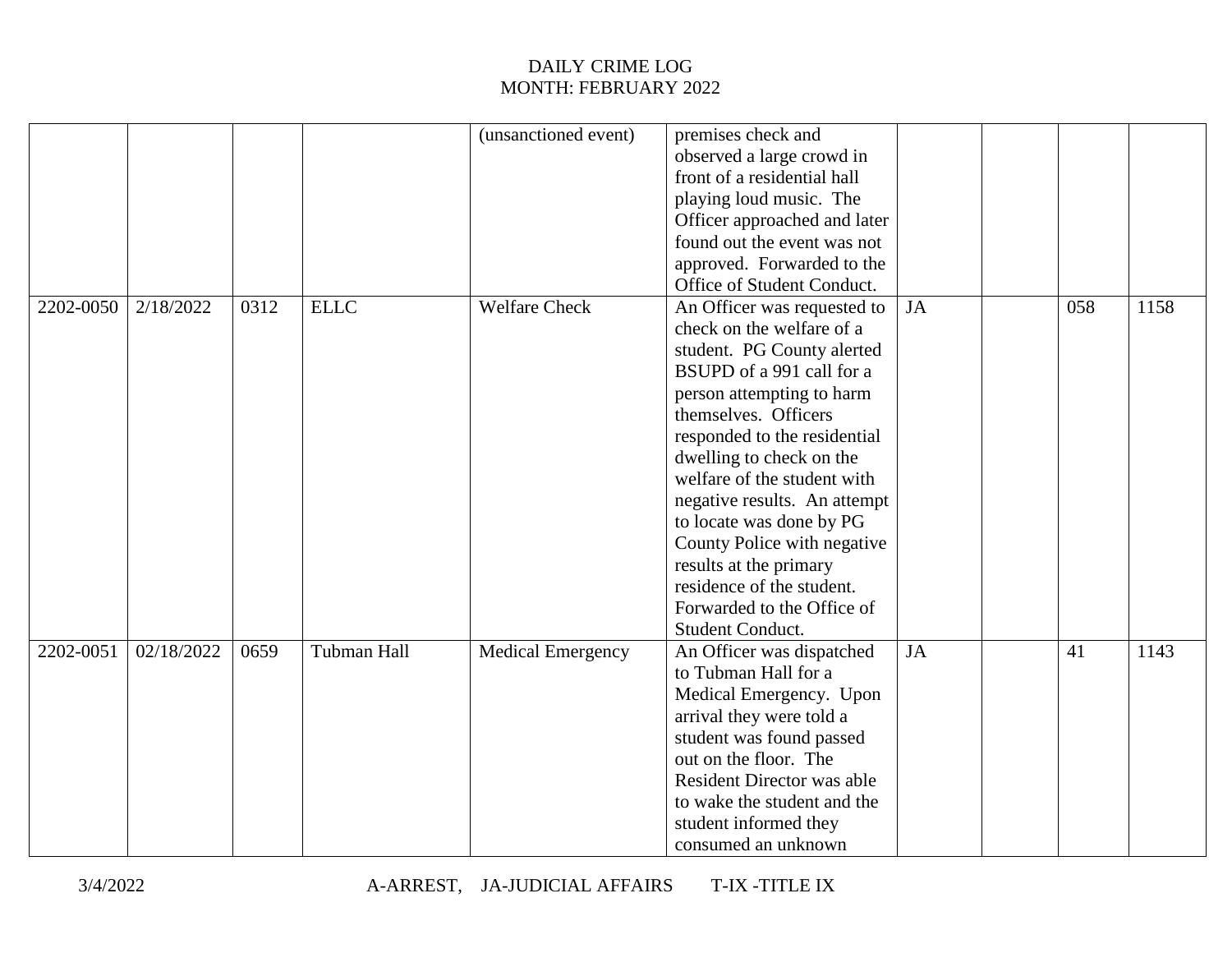| (unsanctioned event)<br>premises check and<br>observed a large crowd in<br>front of a residential hall<br>playing loud music. The<br>Officer approached and later<br>found out the event was not<br>approved. Forwarded to the<br>Office of Student Conduct.<br><b>Welfare Check</b><br><b>ELLC</b><br><b>JA</b><br>058<br>1158<br>2202-0050<br>2/18/2022<br>0312<br>An Officer was requested to<br>check on the welfare of a<br>student. PG County alerted<br>BSUPD of a 991 call for a<br>person attempting to harm<br>themselves. Officers<br>responded to the residential<br>dwelling to check on the<br>welfare of the student with<br>negative results. An attempt<br>to locate was done by PG<br>County Police with negative<br>results at the primary<br>residence of the student.<br>Forwarded to the Office of<br>Student Conduct.<br>02/18/2022<br>Tubman Hall<br><b>JA</b><br>2202-0051<br>0659<br><b>Medical Emergency</b><br>41<br>1143<br>An Officer was dispatched |  |  |  |  |  |
|------------------------------------------------------------------------------------------------------------------------------------------------------------------------------------------------------------------------------------------------------------------------------------------------------------------------------------------------------------------------------------------------------------------------------------------------------------------------------------------------------------------------------------------------------------------------------------------------------------------------------------------------------------------------------------------------------------------------------------------------------------------------------------------------------------------------------------------------------------------------------------------------------------------------------------------------------------------------------------|--|--|--|--|--|
|                                                                                                                                                                                                                                                                                                                                                                                                                                                                                                                                                                                                                                                                                                                                                                                                                                                                                                                                                                                    |  |  |  |  |  |
|                                                                                                                                                                                                                                                                                                                                                                                                                                                                                                                                                                                                                                                                                                                                                                                                                                                                                                                                                                                    |  |  |  |  |  |
|                                                                                                                                                                                                                                                                                                                                                                                                                                                                                                                                                                                                                                                                                                                                                                                                                                                                                                                                                                                    |  |  |  |  |  |
|                                                                                                                                                                                                                                                                                                                                                                                                                                                                                                                                                                                                                                                                                                                                                                                                                                                                                                                                                                                    |  |  |  |  |  |
|                                                                                                                                                                                                                                                                                                                                                                                                                                                                                                                                                                                                                                                                                                                                                                                                                                                                                                                                                                                    |  |  |  |  |  |
|                                                                                                                                                                                                                                                                                                                                                                                                                                                                                                                                                                                                                                                                                                                                                                                                                                                                                                                                                                                    |  |  |  |  |  |
|                                                                                                                                                                                                                                                                                                                                                                                                                                                                                                                                                                                                                                                                                                                                                                                                                                                                                                                                                                                    |  |  |  |  |  |
|                                                                                                                                                                                                                                                                                                                                                                                                                                                                                                                                                                                                                                                                                                                                                                                                                                                                                                                                                                                    |  |  |  |  |  |
|                                                                                                                                                                                                                                                                                                                                                                                                                                                                                                                                                                                                                                                                                                                                                                                                                                                                                                                                                                                    |  |  |  |  |  |
|                                                                                                                                                                                                                                                                                                                                                                                                                                                                                                                                                                                                                                                                                                                                                                                                                                                                                                                                                                                    |  |  |  |  |  |
|                                                                                                                                                                                                                                                                                                                                                                                                                                                                                                                                                                                                                                                                                                                                                                                                                                                                                                                                                                                    |  |  |  |  |  |
|                                                                                                                                                                                                                                                                                                                                                                                                                                                                                                                                                                                                                                                                                                                                                                                                                                                                                                                                                                                    |  |  |  |  |  |
|                                                                                                                                                                                                                                                                                                                                                                                                                                                                                                                                                                                                                                                                                                                                                                                                                                                                                                                                                                                    |  |  |  |  |  |
|                                                                                                                                                                                                                                                                                                                                                                                                                                                                                                                                                                                                                                                                                                                                                                                                                                                                                                                                                                                    |  |  |  |  |  |
|                                                                                                                                                                                                                                                                                                                                                                                                                                                                                                                                                                                                                                                                                                                                                                                                                                                                                                                                                                                    |  |  |  |  |  |
|                                                                                                                                                                                                                                                                                                                                                                                                                                                                                                                                                                                                                                                                                                                                                                                                                                                                                                                                                                                    |  |  |  |  |  |
|                                                                                                                                                                                                                                                                                                                                                                                                                                                                                                                                                                                                                                                                                                                                                                                                                                                                                                                                                                                    |  |  |  |  |  |
|                                                                                                                                                                                                                                                                                                                                                                                                                                                                                                                                                                                                                                                                                                                                                                                                                                                                                                                                                                                    |  |  |  |  |  |
|                                                                                                                                                                                                                                                                                                                                                                                                                                                                                                                                                                                                                                                                                                                                                                                                                                                                                                                                                                                    |  |  |  |  |  |
|                                                                                                                                                                                                                                                                                                                                                                                                                                                                                                                                                                                                                                                                                                                                                                                                                                                                                                                                                                                    |  |  |  |  |  |
|                                                                                                                                                                                                                                                                                                                                                                                                                                                                                                                                                                                                                                                                                                                                                                                                                                                                                                                                                                                    |  |  |  |  |  |
|                                                                                                                                                                                                                                                                                                                                                                                                                                                                                                                                                                                                                                                                                                                                                                                                                                                                                                                                                                                    |  |  |  |  |  |
|                                                                                                                                                                                                                                                                                                                                                                                                                                                                                                                                                                                                                                                                                                                                                                                                                                                                                                                                                                                    |  |  |  |  |  |
|                                                                                                                                                                                                                                                                                                                                                                                                                                                                                                                                                                                                                                                                                                                                                                                                                                                                                                                                                                                    |  |  |  |  |  |
|                                                                                                                                                                                                                                                                                                                                                                                                                                                                                                                                                                                                                                                                                                                                                                                                                                                                                                                                                                                    |  |  |  |  |  |
| to Tubman Hall for a                                                                                                                                                                                                                                                                                                                                                                                                                                                                                                                                                                                                                                                                                                                                                                                                                                                                                                                                                               |  |  |  |  |  |
| Medical Emergency. Upon                                                                                                                                                                                                                                                                                                                                                                                                                                                                                                                                                                                                                                                                                                                                                                                                                                                                                                                                                            |  |  |  |  |  |
| arrival they were told a                                                                                                                                                                                                                                                                                                                                                                                                                                                                                                                                                                                                                                                                                                                                                                                                                                                                                                                                                           |  |  |  |  |  |
| student was found passed                                                                                                                                                                                                                                                                                                                                                                                                                                                                                                                                                                                                                                                                                                                                                                                                                                                                                                                                                           |  |  |  |  |  |
| out on the floor. The                                                                                                                                                                                                                                                                                                                                                                                                                                                                                                                                                                                                                                                                                                                                                                                                                                                                                                                                                              |  |  |  |  |  |
| <b>Resident Director was able</b>                                                                                                                                                                                                                                                                                                                                                                                                                                                                                                                                                                                                                                                                                                                                                                                                                                                                                                                                                  |  |  |  |  |  |
| to wake the student and the                                                                                                                                                                                                                                                                                                                                                                                                                                                                                                                                                                                                                                                                                                                                                                                                                                                                                                                                                        |  |  |  |  |  |
| student informed they                                                                                                                                                                                                                                                                                                                                                                                                                                                                                                                                                                                                                                                                                                                                                                                                                                                                                                                                                              |  |  |  |  |  |
| consumed an unknown                                                                                                                                                                                                                                                                                                                                                                                                                                                                                                                                                                                                                                                                                                                                                                                                                                                                                                                                                                |  |  |  |  |  |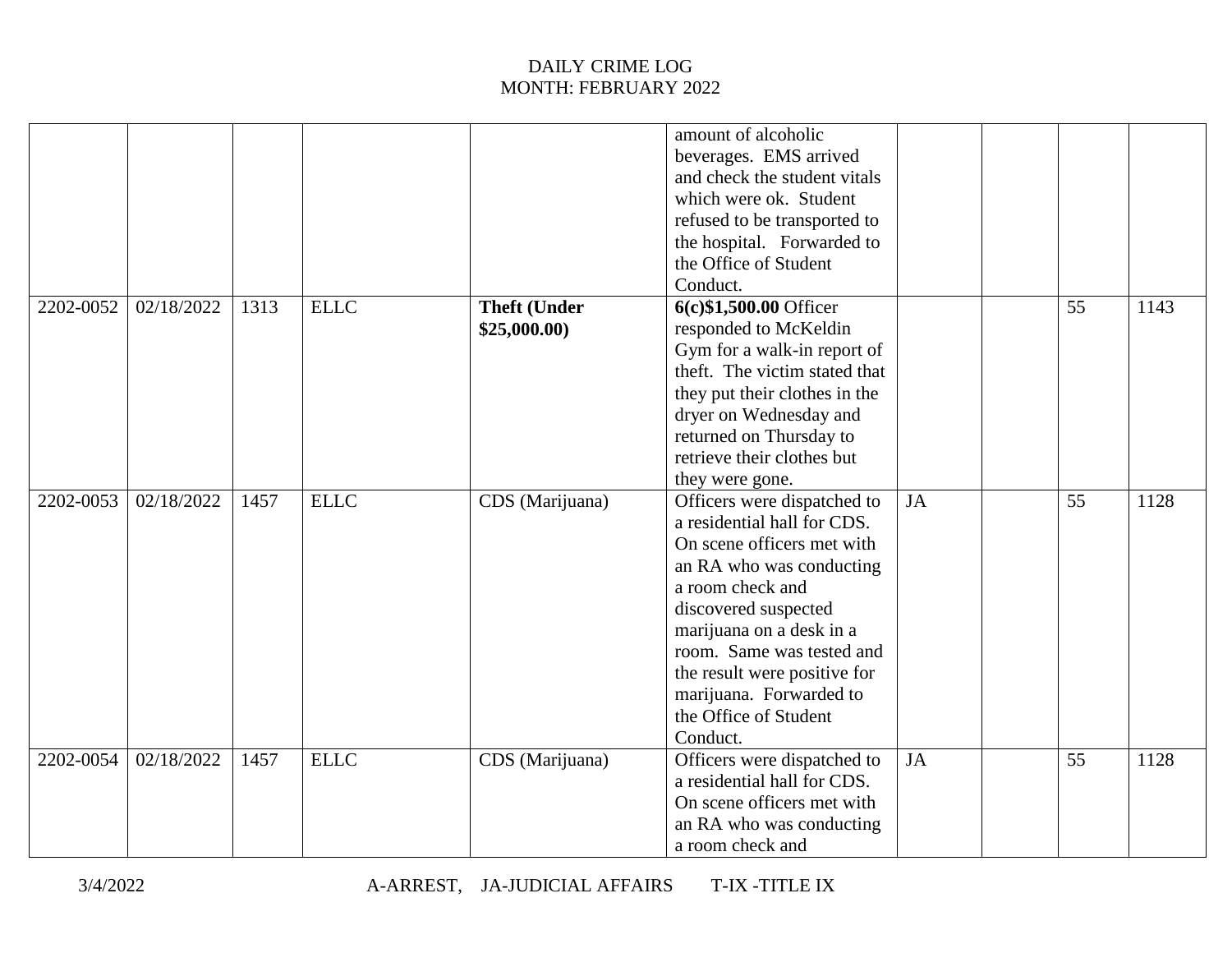|           |            |      |             |                     | amount of alcoholic<br>beverages. EMS arrived<br>and check the student vitals |           |    |      |
|-----------|------------|------|-------------|---------------------|-------------------------------------------------------------------------------|-----------|----|------|
|           |            |      |             |                     | which were ok. Student                                                        |           |    |      |
|           |            |      |             |                     | refused to be transported to                                                  |           |    |      |
|           |            |      |             |                     | the hospital. Forwarded to                                                    |           |    |      |
|           |            |      |             |                     | the Office of Student                                                         |           |    |      |
|           |            |      |             |                     | Conduct.                                                                      |           |    |      |
| 2202-0052 | 02/18/2022 | 1313 | <b>ELLC</b> | <b>Theft (Under</b> | 6(c) \$1,500.00 Officer                                                       |           | 55 | 1143 |
|           |            |      |             | \$25,000.00         | responded to McKeldin                                                         |           |    |      |
|           |            |      |             |                     | Gym for a walk-in report of                                                   |           |    |      |
|           |            |      |             |                     | theft. The victim stated that                                                 |           |    |      |
|           |            |      |             |                     | they put their clothes in the                                                 |           |    |      |
|           |            |      |             |                     | dryer on Wednesday and                                                        |           |    |      |
|           |            |      |             |                     | returned on Thursday to                                                       |           |    |      |
|           |            |      |             |                     | retrieve their clothes but                                                    |           |    |      |
|           |            |      |             |                     | they were gone.                                                               |           |    |      |
| 2202-0053 | 02/18/2022 | 1457 | <b>ELLC</b> | CDS (Marijuana)     | Officers were dispatched to                                                   | JA        | 55 | 1128 |
|           |            |      |             |                     | a residential hall for CDS.                                                   |           |    |      |
|           |            |      |             |                     | On scene officers met with                                                    |           |    |      |
|           |            |      |             |                     | an RA who was conducting                                                      |           |    |      |
|           |            |      |             |                     | a room check and                                                              |           |    |      |
|           |            |      |             |                     | discovered suspected                                                          |           |    |      |
|           |            |      |             |                     | marijuana on a desk in a                                                      |           |    |      |
|           |            |      |             |                     | room. Same was tested and                                                     |           |    |      |
|           |            |      |             |                     | the result were positive for                                                  |           |    |      |
|           |            |      |             |                     | marijuana. Forwarded to                                                       |           |    |      |
|           |            |      |             |                     | the Office of Student                                                         |           |    |      |
|           |            |      |             |                     | Conduct.                                                                      |           |    |      |
| 2202-0054 | 02/18/2022 | 1457 | <b>ELLC</b> | CDS (Marijuana)     | Officers were dispatched to                                                   | <b>JA</b> | 55 | 1128 |
|           |            |      |             |                     | a residential hall for CDS.                                                   |           |    |      |
|           |            |      |             |                     | On scene officers met with                                                    |           |    |      |
|           |            |      |             |                     | an RA who was conducting                                                      |           |    |      |
|           |            |      |             |                     | a room check and                                                              |           |    |      |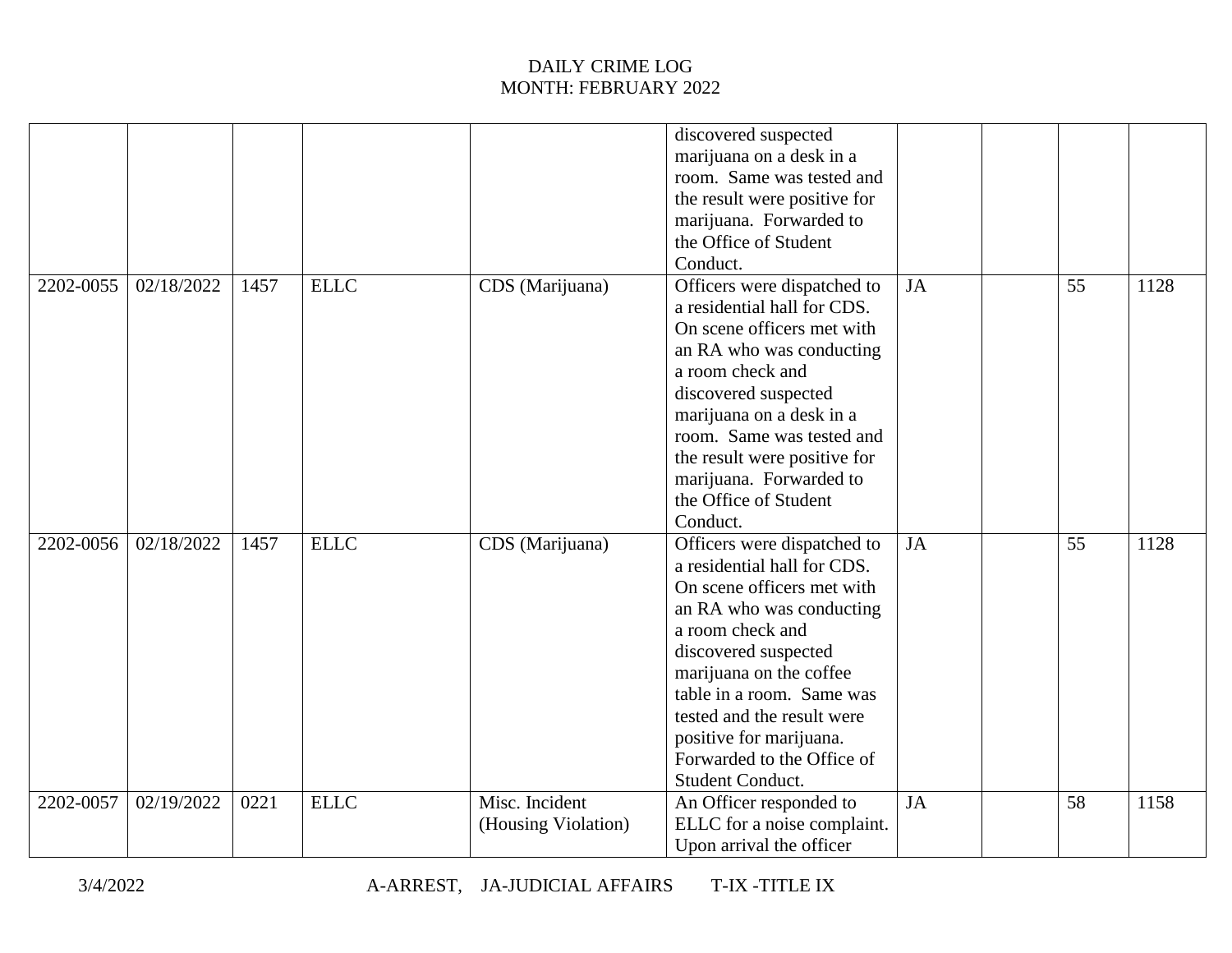|           |            |      |             |                                       | discovered suspected<br>marijuana on a desk in a<br>room. Same was tested and<br>the result were positive for<br>marijuana. Forwarded to<br>the Office of Student<br>Conduct.                                                                                                                                                       |    |    |      |
|-----------|------------|------|-------------|---------------------------------------|-------------------------------------------------------------------------------------------------------------------------------------------------------------------------------------------------------------------------------------------------------------------------------------------------------------------------------------|----|----|------|
| 2202-0055 | 02/18/2022 | 1457 | <b>ELLC</b> | CDS (Marijuana)                       | Officers were dispatched to<br>a residential hall for CDS.<br>On scene officers met with<br>an RA who was conducting<br>a room check and<br>discovered suspected<br>marijuana on a desk in a<br>room. Same was tested and<br>the result were positive for<br>marijuana. Forwarded to<br>the Office of Student<br>Conduct.           | JA | 55 | 1128 |
| 2202-0056 | 02/18/2022 | 1457 | <b>ELLC</b> | CDS (Marijuana)                       | Officers were dispatched to<br>a residential hall for CDS.<br>On scene officers met with<br>an RA who was conducting<br>a room check and<br>discovered suspected<br>marijuana on the coffee<br>table in a room. Same was<br>tested and the result were<br>positive for marijuana.<br>Forwarded to the Office of<br>Student Conduct. | JA | 55 | 1128 |
| 2202-0057 | 02/19/2022 | 0221 | <b>ELLC</b> | Misc. Incident<br>(Housing Violation) | An Officer responded to<br>ELLC for a noise complaint.<br>Upon arrival the officer                                                                                                                                                                                                                                                  | JA | 58 | 1158 |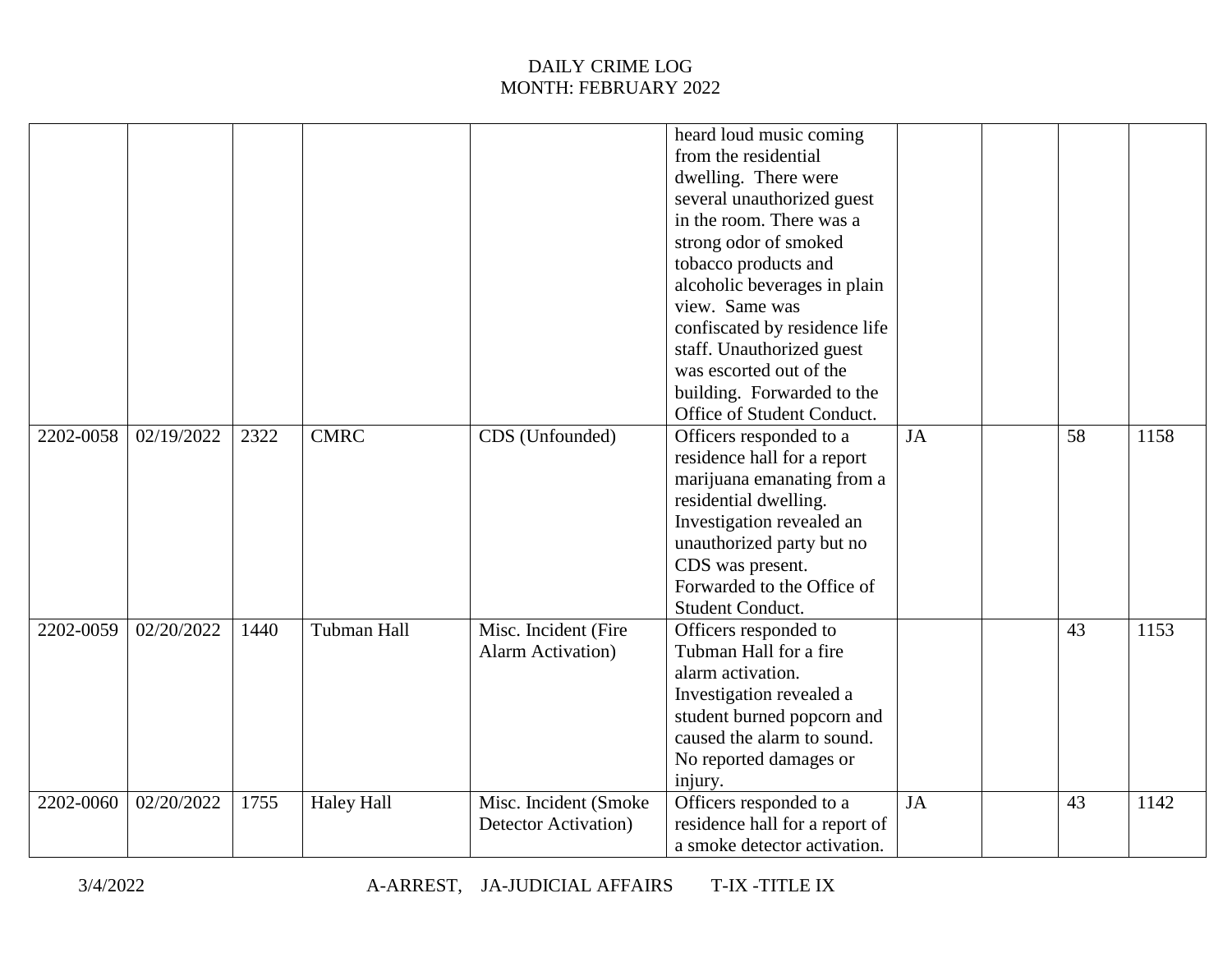|           |            |      |                   |                       | heard loud music coming        |           |    |      |
|-----------|------------|------|-------------------|-----------------------|--------------------------------|-----------|----|------|
|           |            |      |                   |                       | from the residential           |           |    |      |
|           |            |      |                   |                       | dwelling. There were           |           |    |      |
|           |            |      |                   |                       | several unauthorized guest     |           |    |      |
|           |            |      |                   |                       | in the room. There was a       |           |    |      |
|           |            |      |                   |                       | strong odor of smoked          |           |    |      |
|           |            |      |                   |                       | tobacco products and           |           |    |      |
|           |            |      |                   |                       | alcoholic beverages in plain   |           |    |      |
|           |            |      |                   |                       | view. Same was                 |           |    |      |
|           |            |      |                   |                       | confiscated by residence life  |           |    |      |
|           |            |      |                   |                       | staff. Unauthorized guest      |           |    |      |
|           |            |      |                   |                       | was escorted out of the        |           |    |      |
|           |            |      |                   |                       | building. Forwarded to the     |           |    |      |
|           |            |      |                   |                       | Office of Student Conduct.     |           |    |      |
| 2202-0058 | 02/19/2022 | 2322 | <b>CMRC</b>       | CDS (Unfounded)       | Officers responded to a        | <b>JA</b> | 58 | 1158 |
|           |            |      |                   |                       | residence hall for a report    |           |    |      |
|           |            |      |                   |                       | marijuana emanating from a     |           |    |      |
|           |            |      |                   |                       | residential dwelling.          |           |    |      |
|           |            |      |                   |                       | Investigation revealed an      |           |    |      |
|           |            |      |                   |                       | unauthorized party but no      |           |    |      |
|           |            |      |                   |                       | CDS was present.               |           |    |      |
|           |            |      |                   |                       | Forwarded to the Office of     |           |    |      |
|           |            |      |                   |                       | Student Conduct.               |           |    |      |
| 2202-0059 | 02/20/2022 | 1440 | Tubman Hall       | Misc. Incident (Fire  | Officers responded to          |           | 43 | 1153 |
|           |            |      |                   | Alarm Activation)     | Tubman Hall for a fire         |           |    |      |
|           |            |      |                   |                       | alarm activation.              |           |    |      |
|           |            |      |                   |                       | Investigation revealed a       |           |    |      |
|           |            |      |                   |                       | student burned popcorn and     |           |    |      |
|           |            |      |                   |                       | caused the alarm to sound.     |           |    |      |
|           |            |      |                   |                       | No reported damages or         |           |    |      |
|           |            |      |                   |                       | injury.                        |           |    |      |
| 2202-0060 | 02/20/2022 | 1755 | <b>Haley Hall</b> | Misc. Incident (Smoke | Officers responded to a        | <b>JA</b> | 43 | 1142 |
|           |            |      |                   | Detector Activation)  | residence hall for a report of |           |    |      |
|           |            |      |                   |                       | a smoke detector activation.   |           |    |      |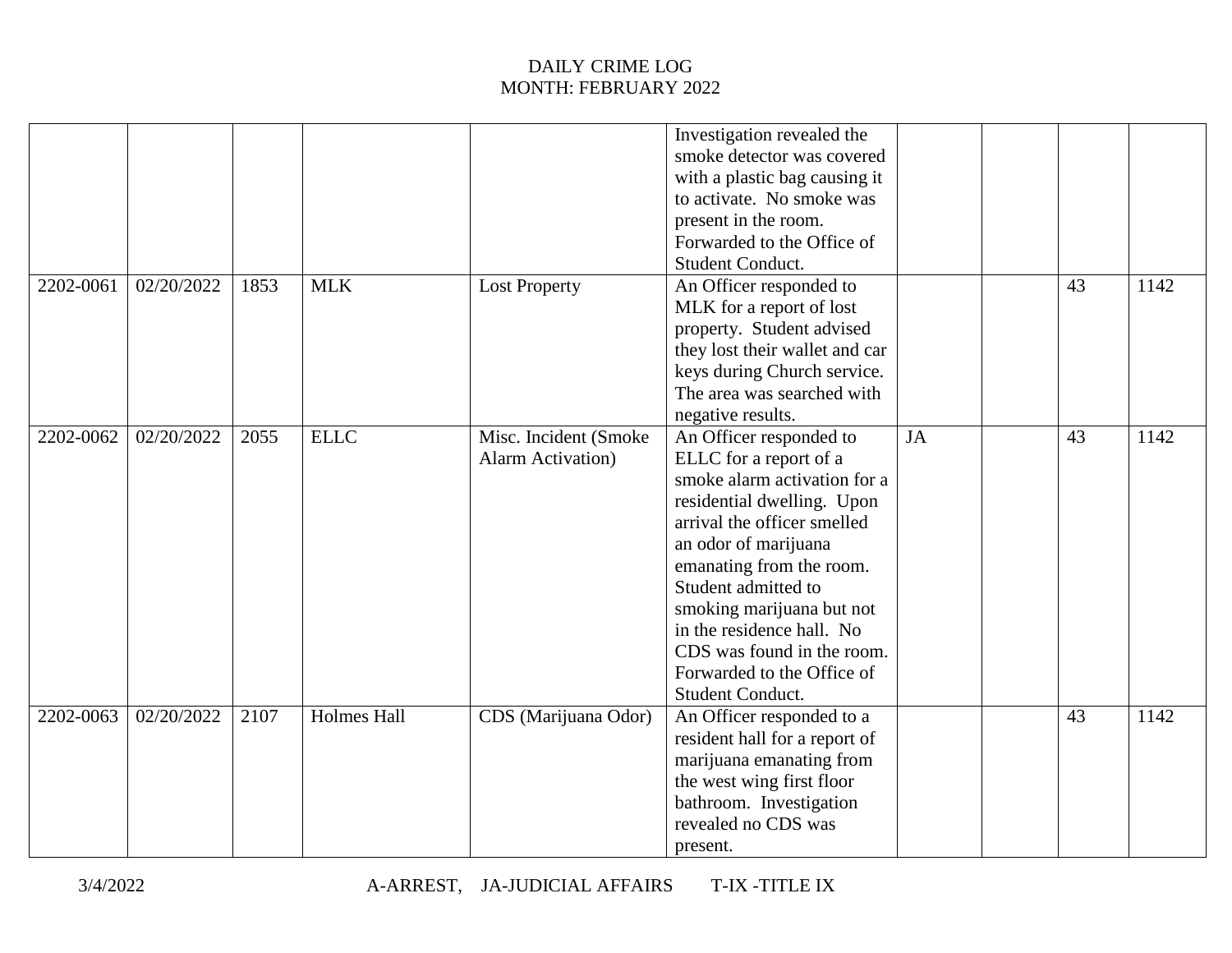|           |                         |      |                    |                           | Investigation revealed the     |    |    |      |
|-----------|-------------------------|------|--------------------|---------------------------|--------------------------------|----|----|------|
|           |                         |      |                    |                           | smoke detector was covered     |    |    |      |
|           |                         |      |                    |                           | with a plastic bag causing it  |    |    |      |
|           |                         |      |                    |                           | to activate. No smoke was      |    |    |      |
|           |                         |      |                    |                           | present in the room.           |    |    |      |
|           |                         |      |                    |                           | Forwarded to the Office of     |    |    |      |
|           |                         |      |                    |                           | <b>Student Conduct.</b>        |    |    |      |
| 2202-0061 | 02/20/2022              | 1853 | <b>MLK</b>         | <b>Lost Property</b>      | An Officer responded to        |    | 43 | 1142 |
|           |                         |      |                    |                           | MLK for a report of lost       |    |    |      |
|           |                         |      |                    |                           | property. Student advised      |    |    |      |
|           |                         |      |                    |                           | they lost their wallet and car |    |    |      |
|           |                         |      |                    |                           | keys during Church service.    |    |    |      |
|           |                         |      |                    |                           | The area was searched with     |    |    |      |
|           |                         |      |                    |                           | negative results.              |    |    |      |
| 2202-0062 | $\overline{02/20}/2022$ | 2055 | <b>ELLC</b>        | Misc. Incident (Smoke     | An Officer responded to        | JA | 43 | 1142 |
|           |                         |      |                    | <b>Alarm Activation</b> ) | ELLC for a report of a         |    |    |      |
|           |                         |      |                    |                           | smoke alarm activation for a   |    |    |      |
|           |                         |      |                    |                           | residential dwelling. Upon     |    |    |      |
|           |                         |      |                    |                           | arrival the officer smelled    |    |    |      |
|           |                         |      |                    |                           | an odor of marijuana           |    |    |      |
|           |                         |      |                    |                           | emanating from the room.       |    |    |      |
|           |                         |      |                    |                           | Student admitted to            |    |    |      |
|           |                         |      |                    |                           | smoking marijuana but not      |    |    |      |
|           |                         |      |                    |                           | in the residence hall. No      |    |    |      |
|           |                         |      |                    |                           | CDS was found in the room.     |    |    |      |
|           |                         |      |                    |                           | Forwarded to the Office of     |    |    |      |
|           |                         |      |                    |                           | Student Conduct.               |    |    |      |
| 2202-0063 | 02/20/2022              | 2107 | <b>Holmes Hall</b> | CDS (Marijuana Odor)      | An Officer responded to a      |    | 43 | 1142 |
|           |                         |      |                    |                           | resident hall for a report of  |    |    |      |
|           |                         |      |                    |                           | marijuana emanating from       |    |    |      |
|           |                         |      |                    |                           | the west wing first floor      |    |    |      |
|           |                         |      |                    |                           | bathroom. Investigation        |    |    |      |
|           |                         |      |                    |                           | revealed no CDS was            |    |    |      |
|           |                         |      |                    |                           | present.                       |    |    |      |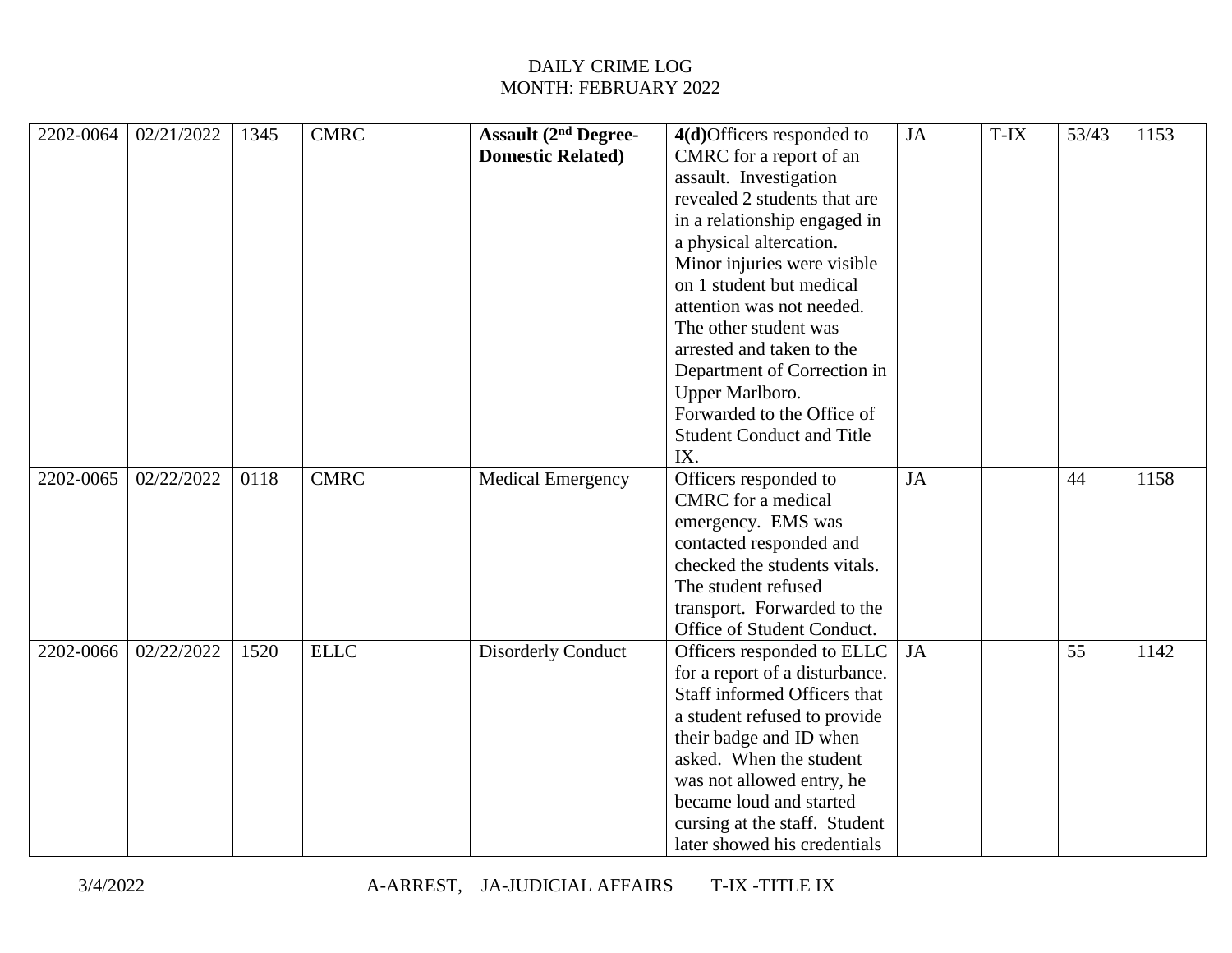| 2202-0064 | 02/21/2022 | 1345 | <b>CMRC</b> | <b>Assault (2nd Degree-</b> | $4(d)$ Officers responded to     | JA        | T-IX | 53/43 | 1153 |
|-----------|------------|------|-------------|-----------------------------|----------------------------------|-----------|------|-------|------|
|           |            |      |             | <b>Domestic Related)</b>    | CMRC for a report of an          |           |      |       |      |
|           |            |      |             |                             | assault. Investigation           |           |      |       |      |
|           |            |      |             |                             | revealed 2 students that are     |           |      |       |      |
|           |            |      |             |                             | in a relationship engaged in     |           |      |       |      |
|           |            |      |             |                             | a physical altercation.          |           |      |       |      |
|           |            |      |             |                             | Minor injuries were visible      |           |      |       |      |
|           |            |      |             |                             | on 1 student but medical         |           |      |       |      |
|           |            |      |             |                             | attention was not needed.        |           |      |       |      |
|           |            |      |             |                             | The other student was            |           |      |       |      |
|           |            |      |             |                             | arrested and taken to the        |           |      |       |      |
|           |            |      |             |                             | Department of Correction in      |           |      |       |      |
|           |            |      |             |                             | Upper Marlboro.                  |           |      |       |      |
|           |            |      |             |                             | Forwarded to the Office of       |           |      |       |      |
|           |            |      |             |                             | <b>Student Conduct and Title</b> |           |      |       |      |
|           |            |      |             |                             | IX.                              |           |      |       |      |
| 2202-0065 | 02/22/2022 | 0118 | <b>CMRC</b> | <b>Medical Emergency</b>    | Officers responded to            | JA        |      | 44    | 1158 |
|           |            |      |             |                             | CMRC for a medical               |           |      |       |      |
|           |            |      |             |                             | emergency. EMS was               |           |      |       |      |
|           |            |      |             |                             | contacted responded and          |           |      |       |      |
|           |            |      |             |                             | checked the students vitals.     |           |      |       |      |
|           |            |      |             |                             | The student refused              |           |      |       |      |
|           |            |      |             |                             | transport. Forwarded to the      |           |      |       |      |
|           |            |      |             |                             | Office of Student Conduct.       |           |      |       |      |
| 2202-0066 | 02/22/2022 | 1520 | <b>ELLC</b> | <b>Disorderly Conduct</b>   | Officers responded to ELLC       | <b>JA</b> |      | 55    | 1142 |
|           |            |      |             |                             | for a report of a disturbance.   |           |      |       |      |
|           |            |      |             |                             | Staff informed Officers that     |           |      |       |      |
|           |            |      |             |                             | a student refused to provide     |           |      |       |      |
|           |            |      |             |                             | their badge and ID when          |           |      |       |      |
|           |            |      |             |                             | asked. When the student          |           |      |       |      |
|           |            |      |             |                             | was not allowed entry, he        |           |      |       |      |
|           |            |      |             |                             | became loud and started          |           |      |       |      |
|           |            |      |             |                             | cursing at the staff. Student    |           |      |       |      |
|           |            |      |             |                             | later showed his credentials     |           |      |       |      |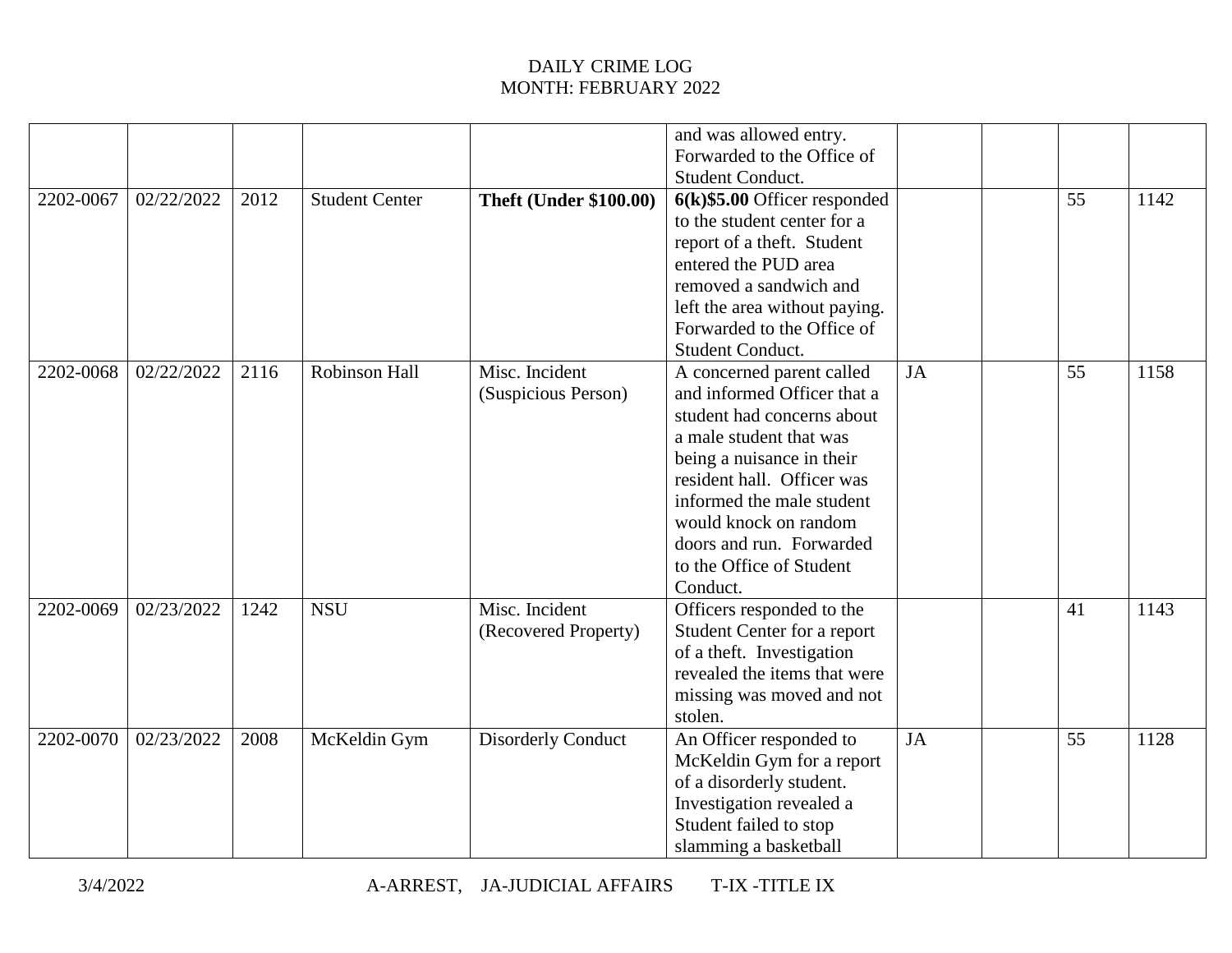|           |            |      |                       |                               | and was allowed entry.          |           |    |      |
|-----------|------------|------|-----------------------|-------------------------------|---------------------------------|-----------|----|------|
|           |            |      |                       |                               | Forwarded to the Office of      |           |    |      |
|           |            |      |                       |                               | Student Conduct.                |           |    |      |
| 2202-0067 | 02/22/2022 | 2012 | <b>Student Center</b> | <b>Theft (Under \$100.00)</b> | $6(k)$ \$5.00 Officer responded |           | 55 | 1142 |
|           |            |      |                       |                               | to the student center for a     |           |    |      |
|           |            |      |                       |                               | report of a theft. Student      |           |    |      |
|           |            |      |                       |                               | entered the PUD area            |           |    |      |
|           |            |      |                       |                               | removed a sandwich and          |           |    |      |
|           |            |      |                       |                               | left the area without paying.   |           |    |      |
|           |            |      |                       |                               | Forwarded to the Office of      |           |    |      |
|           |            |      |                       |                               | <b>Student Conduct.</b>         |           |    |      |
| 2202-0068 | 02/22/2022 | 2116 | Robinson Hall         | Misc. Incident                | A concerned parent called       | JA        | 55 | 1158 |
|           |            |      |                       | (Suspicious Person)           | and informed Officer that a     |           |    |      |
|           |            |      |                       |                               | student had concerns about      |           |    |      |
|           |            |      |                       |                               | a male student that was         |           |    |      |
|           |            |      |                       |                               | being a nuisance in their       |           |    |      |
|           |            |      |                       |                               | resident hall. Officer was      |           |    |      |
|           |            |      |                       |                               | informed the male student       |           |    |      |
|           |            |      |                       |                               | would knock on random           |           |    |      |
|           |            |      |                       |                               | doors and run. Forwarded        |           |    |      |
|           |            |      |                       |                               | to the Office of Student        |           |    |      |
|           |            |      |                       |                               | Conduct.                        |           |    |      |
| 2202-0069 | 02/23/2022 | 1242 | <b>NSU</b>            | Misc. Incident                | Officers responded to the       |           | 41 | 1143 |
|           |            |      |                       | (Recovered Property)          | Student Center for a report     |           |    |      |
|           |            |      |                       |                               | of a theft. Investigation       |           |    |      |
|           |            |      |                       |                               | revealed the items that were    |           |    |      |
|           |            |      |                       |                               | missing was moved and not       |           |    |      |
|           |            |      |                       |                               | stolen.                         |           |    |      |
| 2202-0070 | 02/23/2022 | 2008 | McKeldin Gym          | <b>Disorderly Conduct</b>     | An Officer responded to         | <b>JA</b> | 55 | 1128 |
|           |            |      |                       |                               | McKeldin Gym for a report       |           |    |      |
|           |            |      |                       |                               | of a disorderly student.        |           |    |      |
|           |            |      |                       |                               | Investigation revealed a        |           |    |      |
|           |            |      |                       |                               | Student failed to stop          |           |    |      |
|           |            |      |                       |                               | slamming a basketball           |           |    |      |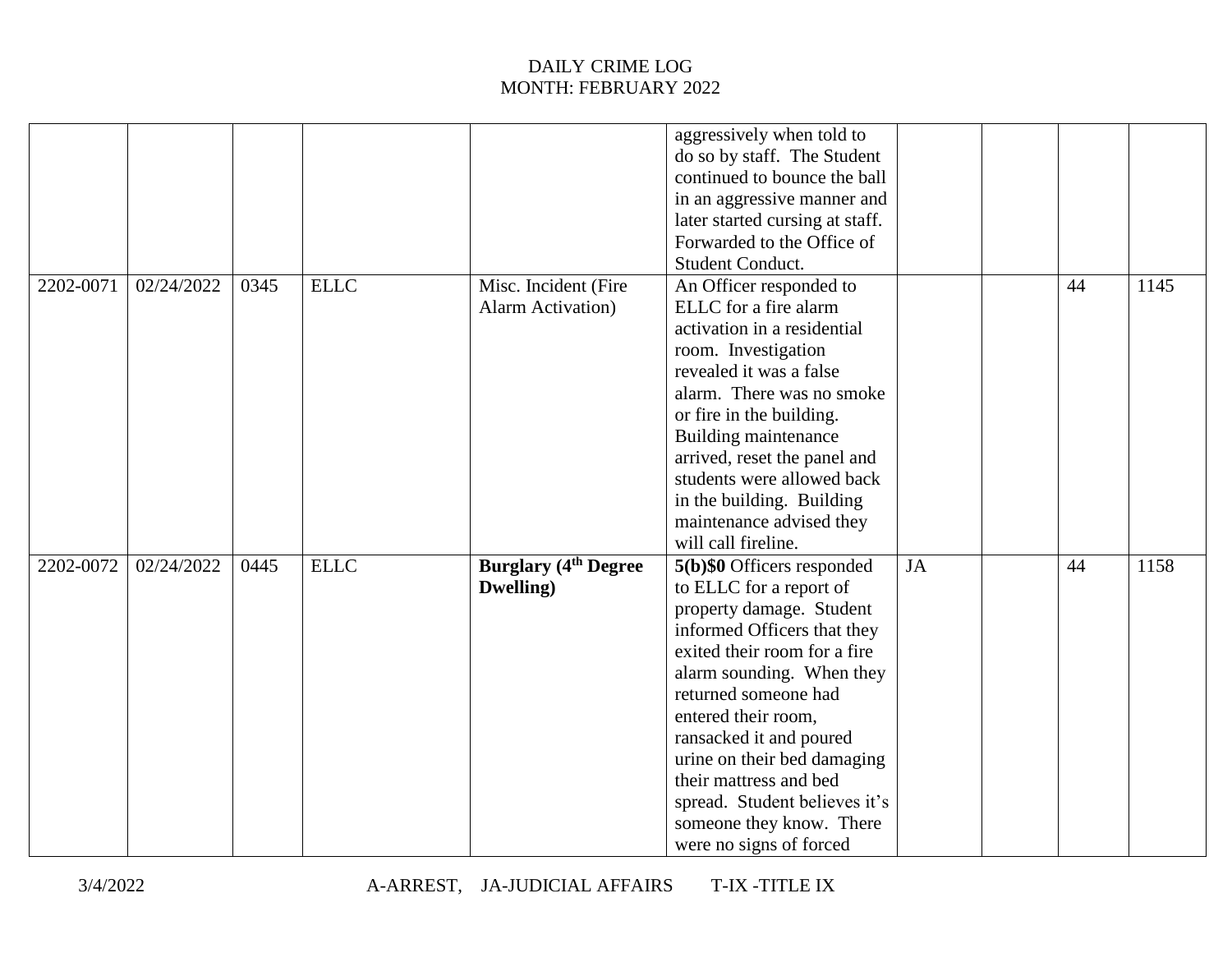|           |            |      |             |                                                   | aggressively when told to<br>do so by staff. The Student<br>continued to bounce the ball<br>in an aggressive manner and<br>later started cursing at staff.<br>Forwarded to the Office of<br>Student Conduct.                                                                                                                                                                                             |           |    |      |
|-----------|------------|------|-------------|---------------------------------------------------|----------------------------------------------------------------------------------------------------------------------------------------------------------------------------------------------------------------------------------------------------------------------------------------------------------------------------------------------------------------------------------------------------------|-----------|----|------|
| 2202-0071 | 02/24/2022 | 0345 | ELLC        | Misc. Incident (Fire<br><b>Alarm Activation</b> ) | An Officer responded to<br>ELLC for a fire alarm<br>activation in a residential<br>room. Investigation<br>revealed it was a false<br>alarm. There was no smoke<br>or fire in the building.<br>Building maintenance<br>arrived, reset the panel and<br>students were allowed back<br>in the building. Building<br>maintenance advised they<br>will call fireline.                                         |           | 44 | 1145 |
| 2202-0072 | 02/24/2022 | 0445 | <b>ELLC</b> | <b>Burglary (4th Degree)</b><br>Dwelling)         | 5(b)\$0 Officers responded<br>to ELLC for a report of<br>property damage. Student<br>informed Officers that they<br>exited their room for a fire<br>alarm sounding. When they<br>returned someone had<br>entered their room,<br>ransacked it and poured<br>urine on their bed damaging<br>their mattress and bed<br>spread. Student believes it's<br>someone they know. There<br>were no signs of forced | <b>JA</b> | 44 | 1158 |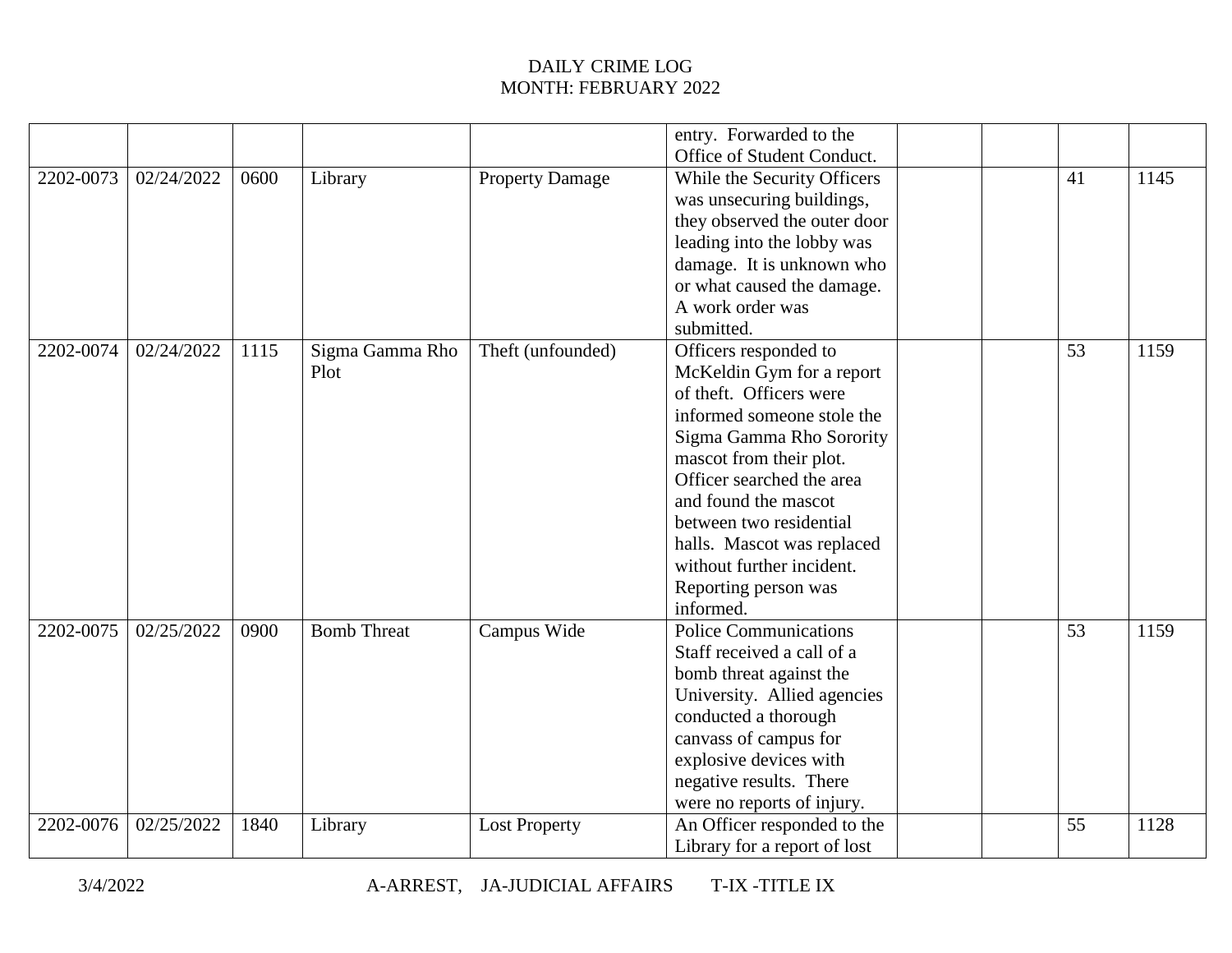|           |            |      |                    |                        | entry. Forwarded to the      |  |    |      |
|-----------|------------|------|--------------------|------------------------|------------------------------|--|----|------|
|           |            |      |                    |                        | Office of Student Conduct.   |  |    |      |
| 2202-0073 | 02/24/2022 | 0600 | Library            | <b>Property Damage</b> | While the Security Officers  |  | 41 | 1145 |
|           |            |      |                    |                        | was unsecuring buildings,    |  |    |      |
|           |            |      |                    |                        | they observed the outer door |  |    |      |
|           |            |      |                    |                        | leading into the lobby was   |  |    |      |
|           |            |      |                    |                        | damage. It is unknown who    |  |    |      |
|           |            |      |                    |                        | or what caused the damage.   |  |    |      |
|           |            |      |                    |                        | A work order was             |  |    |      |
|           |            |      |                    |                        | submitted.                   |  |    |      |
| 2202-0074 | 02/24/2022 | 1115 | Sigma Gamma Rho    | Theft (unfounded)      | Officers responded to        |  | 53 | 1159 |
|           |            |      | Plot               |                        | McKeldin Gym for a report    |  |    |      |
|           |            |      |                    |                        | of theft. Officers were      |  |    |      |
|           |            |      |                    |                        | informed someone stole the   |  |    |      |
|           |            |      |                    |                        | Sigma Gamma Rho Sorority     |  |    |      |
|           |            |      |                    |                        | mascot from their plot.      |  |    |      |
|           |            |      |                    |                        | Officer searched the area    |  |    |      |
|           |            |      |                    |                        | and found the mascot         |  |    |      |
|           |            |      |                    |                        | between two residential      |  |    |      |
|           |            |      |                    |                        | halls. Mascot was replaced   |  |    |      |
|           |            |      |                    |                        | without further incident.    |  |    |      |
|           |            |      |                    |                        | Reporting person was         |  |    |      |
|           |            |      |                    |                        | informed.                    |  |    |      |
| 2202-0075 | 02/25/2022 | 0900 | <b>Bomb Threat</b> | Campus Wide            | <b>Police Communications</b> |  | 53 | 1159 |
|           |            |      |                    |                        | Staff received a call of a   |  |    |      |
|           |            |      |                    |                        | bomb threat against the      |  |    |      |
|           |            |      |                    |                        | University. Allied agencies  |  |    |      |
|           |            |      |                    |                        | conducted a thorough         |  |    |      |
|           |            |      |                    |                        | canvass of campus for        |  |    |      |
|           |            |      |                    |                        | explosive devices with       |  |    |      |
|           |            |      |                    |                        | negative results. There      |  |    |      |
|           |            |      |                    |                        | were no reports of injury.   |  |    |      |
| 2202-0076 | 02/25/2022 | 1840 | Library            | <b>Lost Property</b>   | An Officer responded to the  |  | 55 | 1128 |
|           |            |      |                    |                        | Library for a report of lost |  |    |      |